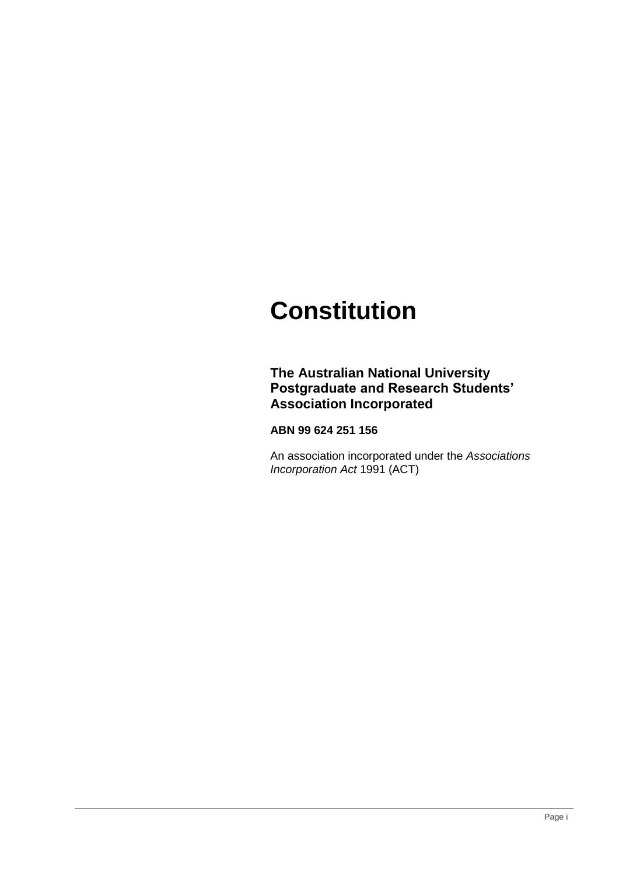# **Constitution**

### **The Australian National University Postgraduate and Research Students' Association Incorporated**

#### **ABN 99 624 251 156**

An association incorporated under the *Associations Incorporation Act* 1991 (ACT)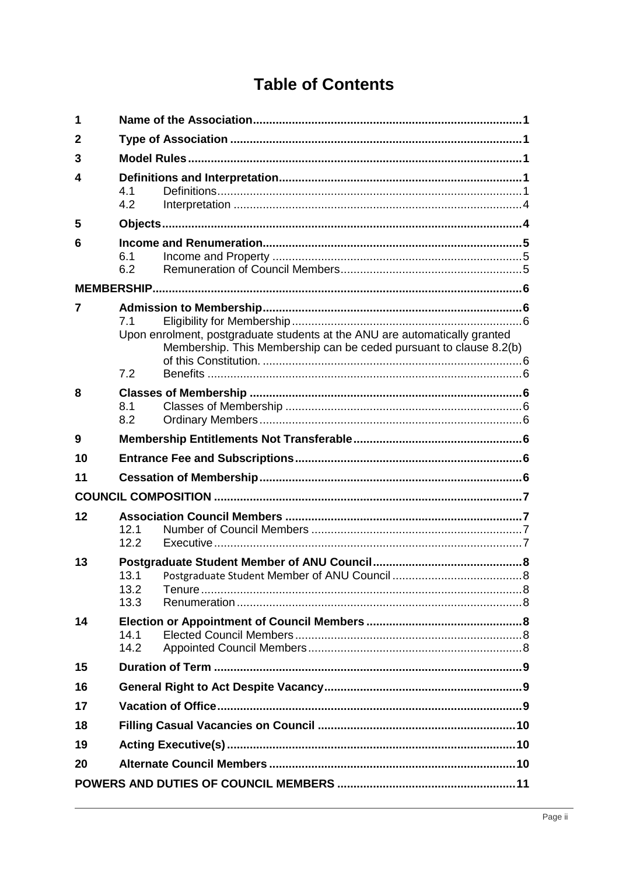## **Table of Contents**

| 1              |                                                                                                                                                                |  |
|----------------|----------------------------------------------------------------------------------------------------------------------------------------------------------------|--|
| $\mathbf{2}$   |                                                                                                                                                                |  |
| 3              |                                                                                                                                                                |  |
| 4              | 4.1<br>4.2                                                                                                                                                     |  |
| 5              |                                                                                                                                                                |  |
| 6              | 6.1<br>6.2                                                                                                                                                     |  |
|                |                                                                                                                                                                |  |
| $\overline{7}$ | 7.1<br>Upon enrolment, postgraduate students at the ANU are automatically granted<br>Membership. This Membership can be ceded pursuant to clause 8.2(b)<br>7.2 |  |
| 8              | 8.1<br>8.2                                                                                                                                                     |  |
| 9              |                                                                                                                                                                |  |
| 10             |                                                                                                                                                                |  |
| 11             |                                                                                                                                                                |  |
|                |                                                                                                                                                                |  |
| 12             | 12.1<br>12.2                                                                                                                                                   |  |
| 13             | 13.1<br>13.2<br>13.3                                                                                                                                           |  |
| 14             | 14.1<br>14.2                                                                                                                                                   |  |
| 15             |                                                                                                                                                                |  |
| 16             |                                                                                                                                                                |  |
| 17             |                                                                                                                                                                |  |
| 18             |                                                                                                                                                                |  |
| 19             |                                                                                                                                                                |  |
| 20             |                                                                                                                                                                |  |
|                |                                                                                                                                                                |  |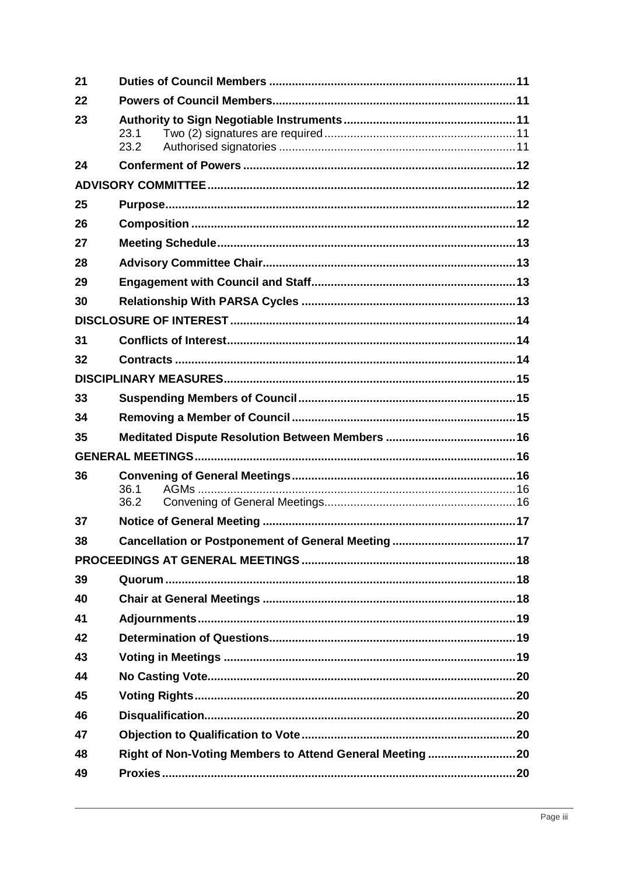| 21 |                                                           |  |
|----|-----------------------------------------------------------|--|
| 22 |                                                           |  |
| 23 | 23.1<br>23.2                                              |  |
| 24 |                                                           |  |
|    |                                                           |  |
| 25 |                                                           |  |
| 26 |                                                           |  |
| 27 |                                                           |  |
| 28 |                                                           |  |
| 29 |                                                           |  |
| 30 |                                                           |  |
|    |                                                           |  |
| 31 |                                                           |  |
| 32 |                                                           |  |
|    |                                                           |  |
| 33 |                                                           |  |
| 34 |                                                           |  |
|    |                                                           |  |
| 35 |                                                           |  |
|    |                                                           |  |
| 36 |                                                           |  |
|    | 36.1                                                      |  |
|    | 36.2                                                      |  |
| 37 |                                                           |  |
| 38 |                                                           |  |
| 39 |                                                           |  |
| 40 |                                                           |  |
| 41 |                                                           |  |
| 42 |                                                           |  |
| 43 |                                                           |  |
| 44 |                                                           |  |
| 45 |                                                           |  |
| 46 |                                                           |  |
| 47 |                                                           |  |
| 48 |                                                           |  |
| 49 | Right of Non-Voting Members to Attend General Meeting  20 |  |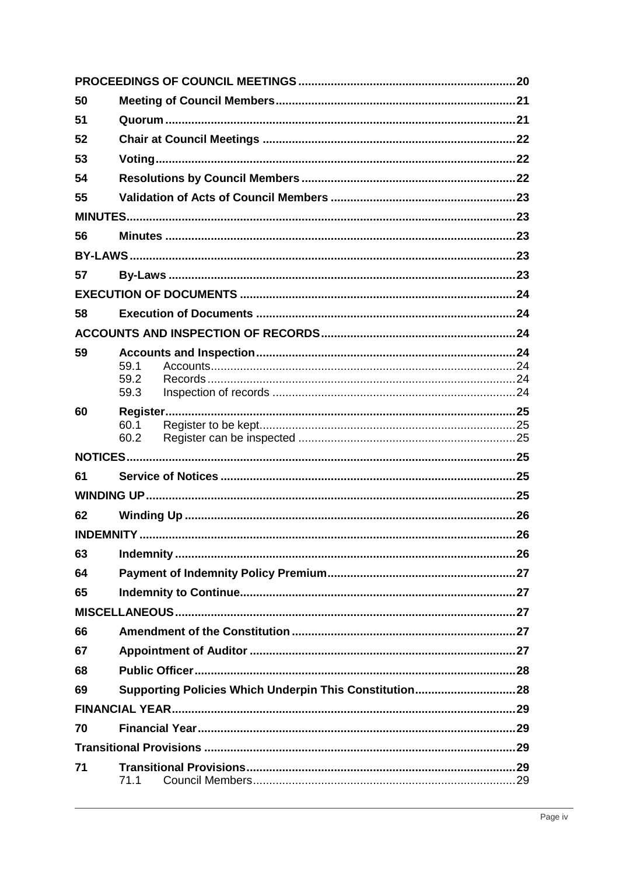| 50 |              |  |  |  |
|----|--------------|--|--|--|
| 51 |              |  |  |  |
| 52 |              |  |  |  |
| 53 |              |  |  |  |
| 54 |              |  |  |  |
| 55 |              |  |  |  |
|    |              |  |  |  |
| 56 |              |  |  |  |
|    |              |  |  |  |
| 57 |              |  |  |  |
|    |              |  |  |  |
| 58 |              |  |  |  |
|    |              |  |  |  |
| 59 |              |  |  |  |
|    | 59.1<br>59.2 |  |  |  |
|    | 59.3         |  |  |  |
| 60 |              |  |  |  |
|    | 60.1<br>60.2 |  |  |  |
|    |              |  |  |  |
| 61 |              |  |  |  |
|    |              |  |  |  |
| 62 |              |  |  |  |
|    |              |  |  |  |
| 63 |              |  |  |  |
| 64 |              |  |  |  |
| 65 |              |  |  |  |
|    |              |  |  |  |
| 66 |              |  |  |  |
| 67 |              |  |  |  |
| 68 |              |  |  |  |
| 69 |              |  |  |  |
|    |              |  |  |  |
| 70 |              |  |  |  |
|    |              |  |  |  |
| 71 | 71.1         |  |  |  |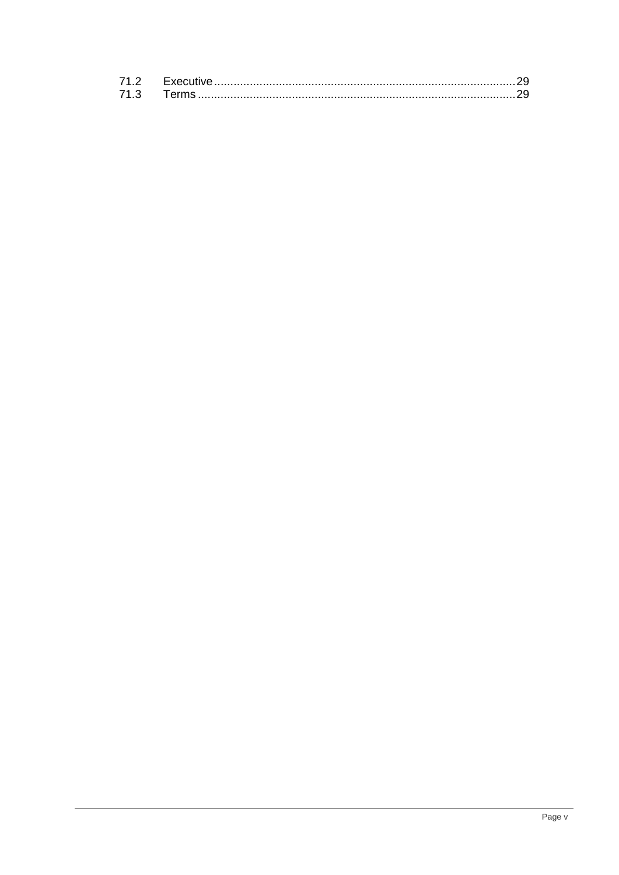| 71.3 |  |
|------|--|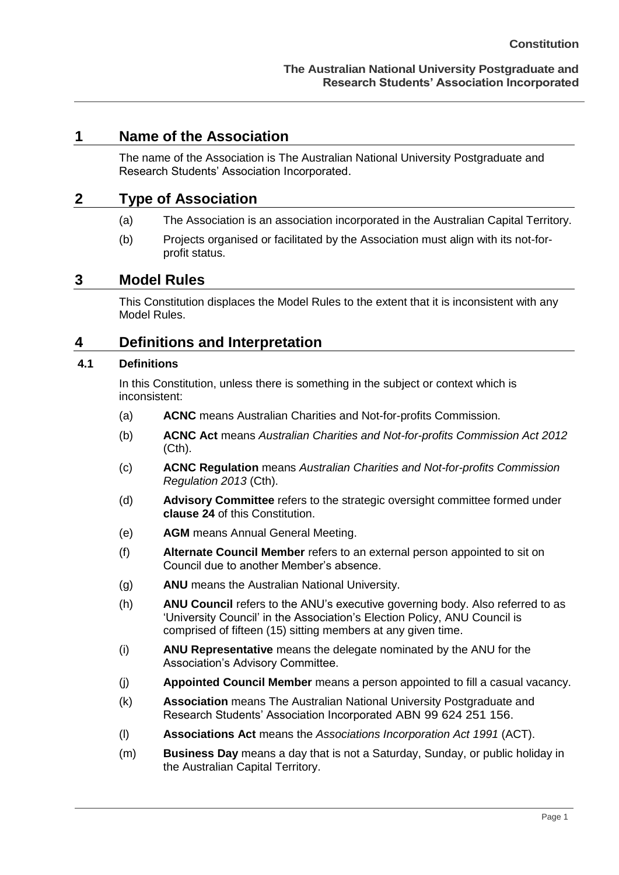#### <span id="page-5-0"></span>**1 Name of the Association**

The name of the Association is The Australian National University Postgraduate and Research Students' Association Incorporated.

#### <span id="page-5-1"></span>**2 Type of Association**

- (a) The Association is an association incorporated in the Australian Capital Territory.
- (b) Projects organised or facilitated by the Association must align with its not-forprofit status.

#### <span id="page-5-2"></span>**3 Model Rules**

This Constitution displaces the Model Rules to the extent that it is inconsistent with any Model Rules.

### <span id="page-5-3"></span>**4 Definitions and Interpretation**

#### <span id="page-5-4"></span>**4.1 Definitions**

In this Constitution, unless there is something in the subject or context which is inconsistent:

- (a) **ACNC** means Australian Charities and Not-for-profits Commission.
- (b) **ACNC Act** means *Australian Charities and Not-for-profits Commission Act 2012*  (Cth).
- (c) **ACNC Regulation** means *Australian Charities and Not-for-profits Commission Regulation 2013* (Cth).
- (d) **Advisory Committee** refers to the strategic oversight committee formed under **clause 24** of this Constitution.
- (e) **AGM** means Annual General Meeting.
- (f) **Alternate Council Member** refers to an external person appointed to sit on Council due to another Member's absence.
- (g) **ANU** means the Australian National University.
- (h) **ANU Council** refers to the ANU's executive governing body. Also referred to as 'University Council' in the Association's Election Policy, ANU Council is comprised of fifteen (15) sitting members at any given time.
- (i) **ANU Representative** means the delegate nominated by the ANU for the Association's Advisory Committee.
- (j) **Appointed Council Member** means a person appointed to fill a casual vacancy.
- (k) **Association** means The Australian National University Postgraduate and Research Students' Association Incorporated ABN 99 624 251 156.
- (l) **Associations Act** means the *Associations Incorporation Act 1991* (ACT).
- (m) **Business Day** means a day that is not a Saturday, Sunday, or public holiday in the Australian Capital Territory.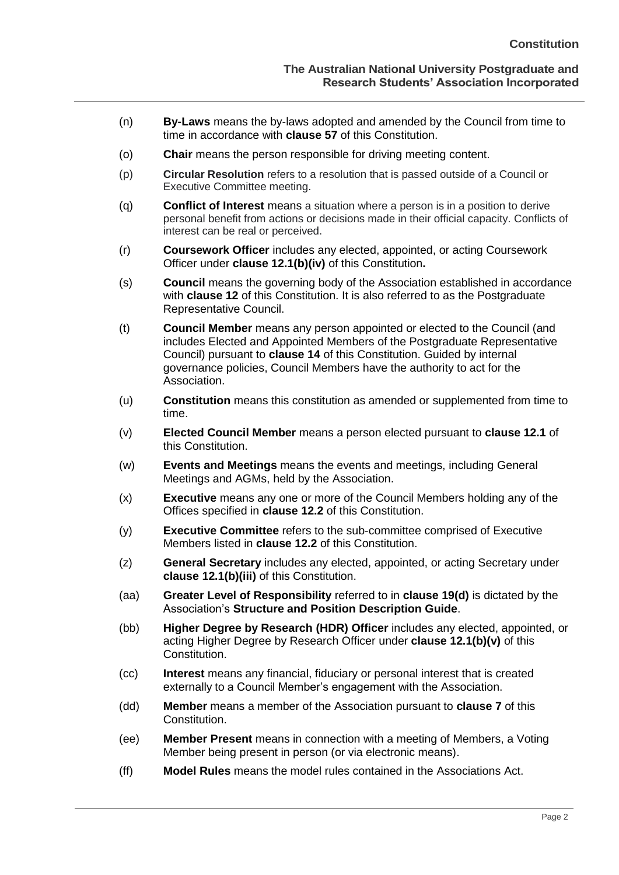- (n) **By-Laws** means the by-laws adopted and amended by the Council from time to time in accordance with **clause 57** of this Constitution.
- (o) **Chair** means the person responsible for driving meeting content.
- (p) **Circular Resolution** refers to a resolution that is passed outside of a Council or Executive Committee meeting.
- (q) **Conflict of Interest** means a situation where a person is in a position to derive personal benefit from actions or decisions made in their official capacity. Conflicts of interest can be real or perceived.
- (r) **Coursework Officer** includes any elected, appointed, or acting Coursework Officer under **clause 12.1(b)(iv)** of this Constitution**.**
- (s) **Council** means the governing body of the Association established in accordance with **clause [12](#page-11-1)** of this Constitution. It is also referred to as the Postgraduate Representative Council.
- (t) **Council Member** means any person appointed or elected to the Council (and includes Elected and Appointed Members of the Postgraduate Representative Council) pursuant to **clause 14** of this Constitution. Guided by internal governance policies, Council Members have the authority to act for the Association.
- (u) **Constitution** means this constitution as amended or supplemented from time to time.
- (v) **Elected Council Member** means a person elected pursuant to **clause 12.1** of this Constitution.
- (w) **Events and Meetings** means the events and meetings, including General Meetings and AGMs, held by the Association.
- (x) **Executive** means any one or more of the Council Members holding any of the Offices specified in **clause 12.2** of this Constitution.
- (y) **Executive Committee** refers to the sub-committee comprised of Executive Members listed in **clause 12.2** of this Constitution.
- (z) **General Secretary** includes any elected, appointed, or acting Secretary under **clause 12.1(b)(iii)** of this Constitution.
- (aa) **Greater Level of Responsibility** referred to in **clause 19(d)** is dictated by the Association's **Structure and Position Description Guide**.
- (bb) **Higher Degree by Research (HDR) Officer** includes any elected, appointed, or acting Higher Degree by Research Officer under **clause 12.1(b)(v)** of this Constitution.
- (cc) **Interest** means any financial, fiduciary or personal interest that is created externally to a Council Member's engagement with the Association.
- (dd) **Member** means a member of the Association pursuant to **clause [7](#page-10-1)** of this Constitution.
- (ee) **Member Present** means in connection with a meeting of Members, a Voting Member being present in person (or via electronic means).
- (ff) **Model Rules** means the model rules contained in the Associations Act.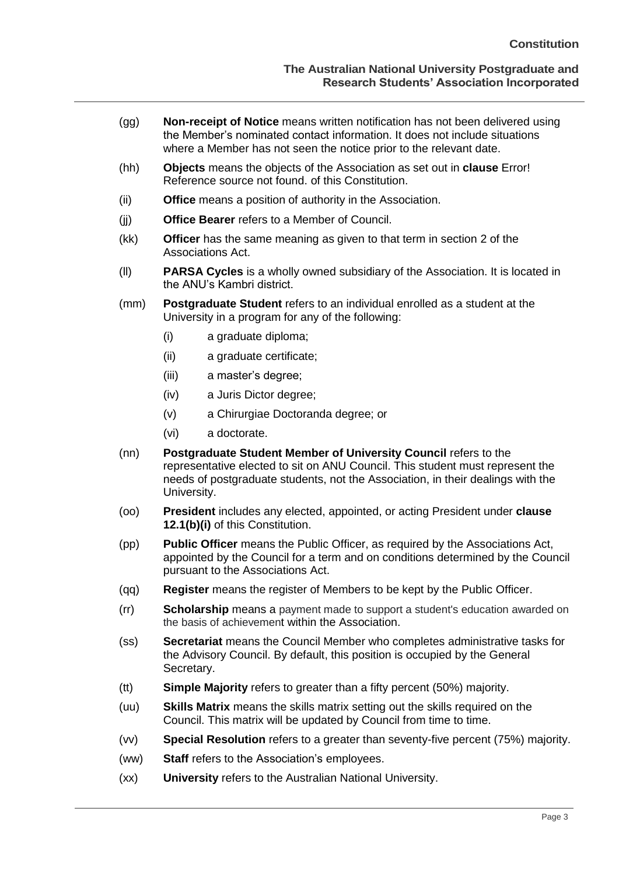- (gg) **Non-receipt of Notice** means written notification has not been delivered using the Member's nominated contact information. It does not include situations where a Member has not seen the notice prior to the relevant date.
- (hh) **Objects** means the objects of the Association as set out in **clause** Error! Reference source not found. of this Constitution.
- (ii) **Office** means a position of authority in the Association.
- (jj) **Office Bearer** refers to a Member of Council.
- (kk) **Officer** has the same meaning as given to that term in section 2 of the Associations Act.
- (ll) **PARSA Cycles** is a wholly owned subsidiary of the Association. It is located in the ANU's Kambri district.
- (mm) **Postgraduate Student** refers to an individual enrolled as a student at the University in a program for any of the following:
	- (i) a graduate diploma;
	- (ii) a graduate certificate;
	- (iii) a master's degree;
	- (iv) a Juris Dictor degree;
	- (v) a Chirurgiae Doctoranda degree; or
	- (vi) a doctorate.
- (nn) **Postgraduate Student Member of University Council** refers to the representative elected to sit on ANU Council. This student must represent the needs of postgraduate students, not the Association, in their dealings with the University.
- (oo) **President** includes any elected, appointed, or acting President under **clause 12.1(b)(i)** of this Constitution.
- (pp) **Public Officer** means the Public Officer, as required by the Associations Act, appointed by the Council for a term and on conditions determined by the Council pursuant to the Associations Act.
- (qq) **Register** means the register of Members to be kept by the Public Officer.
- (rr) **Scholarship** means a payment made to support a student's education awarded on the basis of achievement within the Association.
- (ss) **Secretariat** means the Council Member who completes administrative tasks for the Advisory Council. By default, this position is occupied by the General Secretary.
- (tt) **Simple Majority** refers to greater than a fifty percent (50%) majority.
- (uu) **Skills Matrix** means the skills matrix setting out the skills required on the Council. This matrix will be updated by Council from time to time.
- (vv) **Special Resolution** refers to a greater than seventy-five percent (75%) majority.
- (ww) **Staff** refers to the Association's employees.
- (xx) **University** refers to the Australian National University.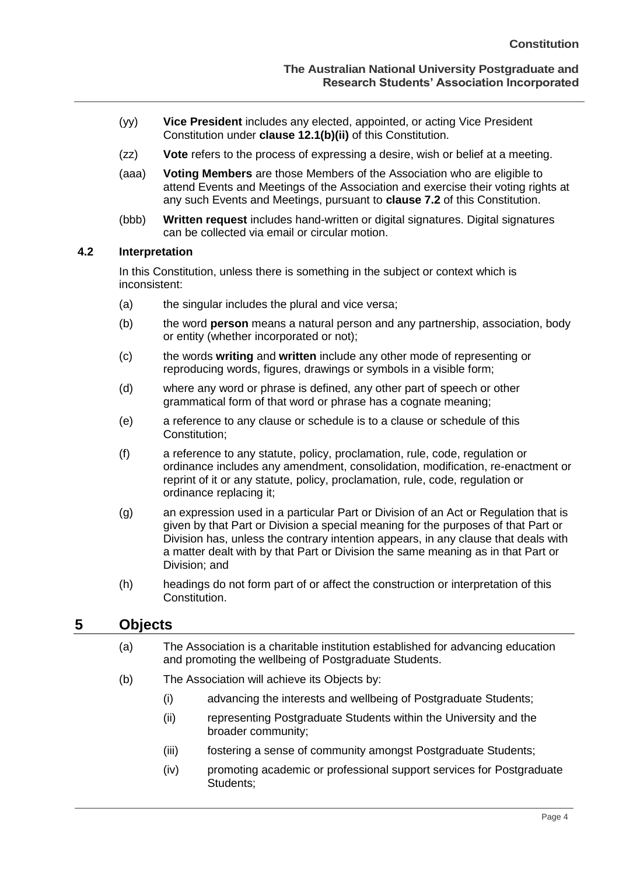- (yy) **Vice President** includes any elected, appointed, or acting Vice President Constitution under **clause 12.1(b)(ii)** of this Constitution.
- (zz) **Vote** refers to the process of expressing a desire, wish or belief at a meeting.
- (aaa) **Voting Members** are those Members of the Association who are eligible to attend Events and Meetings of the Association and exercise their voting rights at any such Events and Meetings, pursuant to **clause 7.2** of this Constitution.
- (bbb) **Written request** includes hand-written or digital signatures. Digital signatures can be collected via email or circular motion.

#### <span id="page-8-0"></span>**4.2 Interpretation**

In this Constitution, unless there is something in the subject or context which is inconsistent:

- (a) the singular includes the plural and vice versa;
- (b) the word **person** means a natural person and any partnership, association, body or entity (whether incorporated or not);
- (c) the words **writing** and **written** include any other mode of representing or reproducing words, figures, drawings or symbols in a visible form;
- (d) where any word or phrase is defined, any other part of speech or other grammatical form of that word or phrase has a cognate meaning;
- (e) a reference to any clause or schedule is to a clause or schedule of this Constitution;
- (f) a reference to any statute, policy, proclamation, rule, code, regulation or ordinance includes any amendment, consolidation, modification, re-enactment or reprint of it or any statute, policy, proclamation, rule, code, regulation or ordinance replacing it;
- (g) an expression used in a particular Part or Division of an Act or Regulation that is given by that Part or Division a special meaning for the purposes of that Part or Division has, unless the contrary intention appears, in any clause that deals with a matter dealt with by that Part or Division the same meaning as in that Part or Division; and
- (h) headings do not form part of or affect the construction or interpretation of this Constitution.

## <span id="page-8-1"></span>**5 Objects**

- (a) The Association is a charitable institution established for advancing education and promoting the wellbeing of Postgraduate Students.
- <span id="page-8-2"></span>(b) The Association will achieve its Objects by:
	- (i) advancing the interests and wellbeing of Postgraduate Students;
	- (ii) representing Postgraduate Students within the University and the broader community;
	- (iii) fostering a sense of community amongst Postgraduate Students;
	- (iv) promoting academic or professional support services for Postgraduate Students;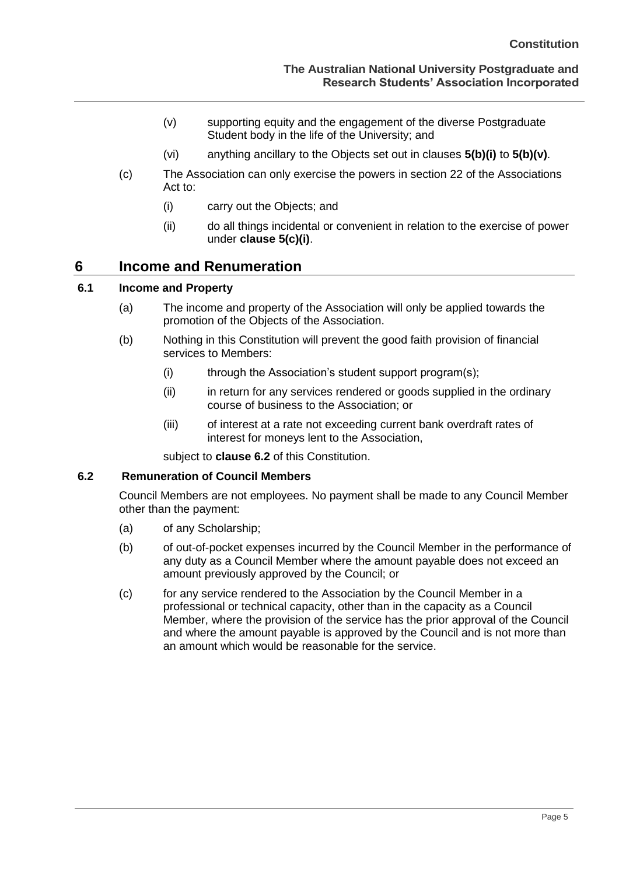- (v) supporting equity and the engagement of the diverse Postgraduate Student body in the life of the University; and
- (vi) anything ancillary to the Objects set out in clauses **[5\(b\)\(i\)](#page-8-2)** to **[5\(b\)\(v\)](#page-9-3)**.
- <span id="page-9-4"></span><span id="page-9-3"></span>(c) The Association can only exercise the powers in section 22 of the Associations Act to:
	- (i) carry out the Objects; and
	- (ii) do all things incidental or convenient in relation to the exercise of power under **clause [5\(c\)\(i\)](#page-9-4)**.

#### <span id="page-9-0"></span>**6 Income and Renumeration**

#### <span id="page-9-1"></span>**6.1 Income and Property**

- (a) The income and property of the Association will only be applied towards the promotion of the Objects of the Association.
- (b) Nothing in this Constitution will prevent the good faith provision of financial services to Members:
	- (i) through the Association's student support program(s);
	- (ii) in return for any services rendered or goods supplied in the ordinary course of business to the Association; or
	- (iii) of interest at a rate not exceeding current bank overdraft rates of interest for moneys lent to the Association,

subject to **clause 6.2** of this Constitution.

#### <span id="page-9-2"></span>**6.2 Remuneration of Council Members**

Council Members are not employees. No payment shall be made to any Council Member other than the payment:

- (a) of any Scholarship;
- (b) of out-of-pocket expenses incurred by the Council Member in the performance of any duty as a Council Member where the amount payable does not exceed an amount previously approved by the Council; or
- (c) for any service rendered to the Association by the Council Member in a professional or technical capacity, other than in the capacity as a Council Member, where the provision of the service has the prior approval of the Council and where the amount payable is approved by the Council and is not more than an amount which would be reasonable for the service.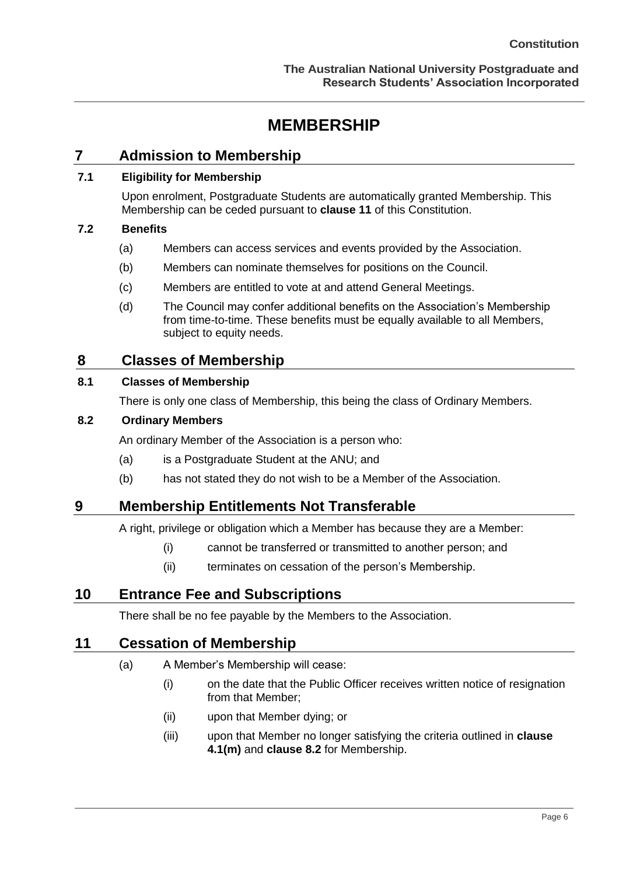## **MEMBERSHIP**

## <span id="page-10-1"></span><span id="page-10-0"></span>**7 Admission to Membership**

#### <span id="page-10-3"></span><span id="page-10-2"></span>**7.1 Eligibility for Membership**

Upon enrolment, Postgraduate Students are automatically granted Membership. This Membership can be ceded pursuant to **clause 11** of this Constitution.

#### <span id="page-10-4"></span>**7.2 Benefits**

- (a) Members can access services and events provided by the Association.
- (b) Members can nominate themselves for positions on the Council.
- (c) Members are entitled to vote at and attend General Meetings.
- (d) The Council may confer additional benefits on the Association's Membership from time-to-time. These benefits must be equally available to all Members, subject to equity needs.

### <span id="page-10-5"></span>**8 Classes of Membership**

#### <span id="page-10-6"></span>**8.1 Classes of Membership**

There is only one class of Membership, this being the class of Ordinary Members.

#### <span id="page-10-7"></span>**8.2 Ordinary Members**

An ordinary Member of the Association is a person who:

- (a) is a Postgraduate Student at the ANU; and
- (b) has not stated they do not wish to be a Member of the Association.

## <span id="page-10-8"></span>**9 Membership Entitlements Not Transferable**

A right, privilege or obligation which a Member has because they are a Member:

- (i) cannot be transferred or transmitted to another person; and
- (ii) terminates on cessation of the person's Membership.

## <span id="page-10-9"></span>**10 Entrance Fee and Subscriptions**

There shall be no fee payable by the Members to the Association.

#### <span id="page-10-10"></span>**11 Cessation of Membership**

#### (a) A Member's Membership will cease:

- (i) on the date that the Public Officer receives written notice of resignation from that Member;
- (ii) upon that Member dying; or
- (iii) upon that Member no longer satisfying the criteria outlined in **clause 4.1(m)** and **clause 8.2** for Membership.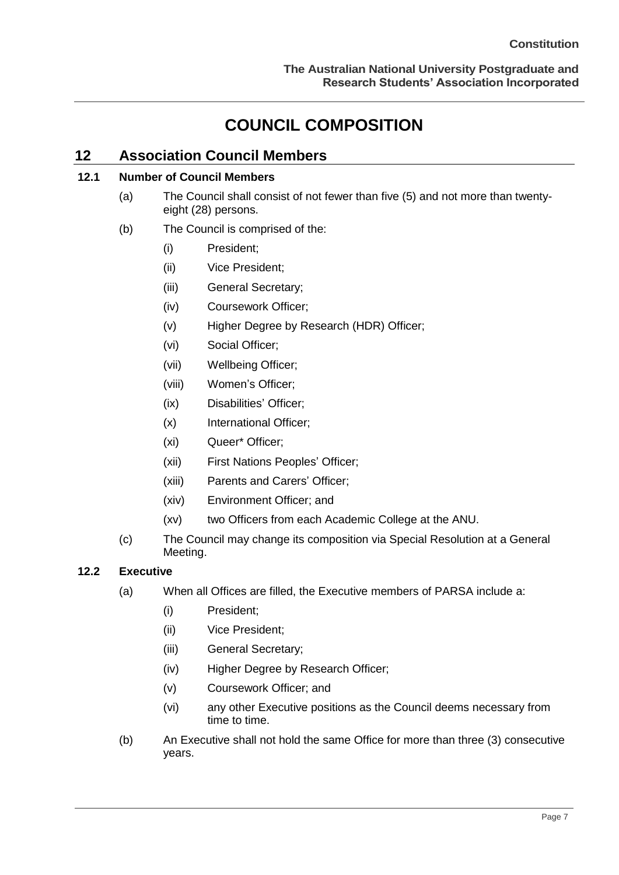## **COUNCIL COMPOSITION**

## <span id="page-11-1"></span><span id="page-11-0"></span>**12 Association Council Members**

### <span id="page-11-2"></span>**12.1 Number of Council Members**

- (a) The Council shall consist of not fewer than five (5) and not more than twentyeight (28) persons.
- (b) The Council is comprised of the:
	- (i) President;
	- (ii) Vice President;
	- (iii) General Secretary;
	- (iv) Coursework Officer;
	- (v) Higher Degree by Research (HDR) Officer;
	- (vi) Social Officer;
	- (vii) Wellbeing Officer;
	- (viii) Women's Officer;
	- (ix) Disabilities' Officer;
	- (x) International Officer;
	- (xi) Queer\* Officer;
	- (xii) First Nations Peoples' Officer;
	- (xiii) Parents and Carers' Officer;
	- (xiv) Environment Officer; and
	- (xv) two Officers from each Academic College at the ANU.
- (c) The Council may change its composition via Special Resolution at a General Meeting.

#### <span id="page-11-3"></span>**12.2 Executive**

- (a) When all Offices are filled, the Executive members of PARSA include a:
	- (i) President;
	- (ii) Vice President;
	- (iii) General Secretary;
	- (iv) Higher Degree by Research Officer;
	- (v) Coursework Officer; and
	- (vi) any other Executive positions as the Council deems necessary from time to time.
- (b) An Executive shall not hold the same Office for more than three (3) consecutive years.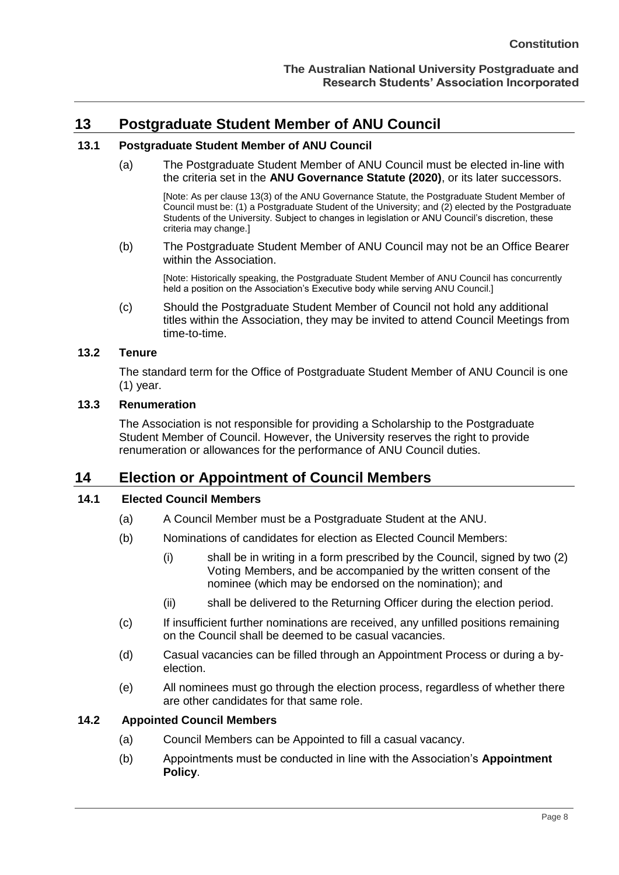## <span id="page-12-0"></span>**13 Postgraduate Student Member of ANU Council**

#### <span id="page-12-1"></span>**13.1 Postgraduate Student Member of ANU Council**

(a) The Postgraduate Student Member of ANU Council must be elected in-line with the criteria set in the **ANU Governance Statute (2020)**, or its later successors.

[Note: As per clause 13(3) of the ANU Governance Statute, the Postgraduate Student Member of Council must be: (1) a Postgraduate Student of the University; and (2) elected by the Postgraduate Students of the University. Subject to changes in legislation or ANU Council's discretion, these criteria may change.]

(b) The Postgraduate Student Member of ANU Council may not be an Office Bearer within the Association.

[Note: Historically speaking, the Postgraduate Student Member of ANU Council has concurrently held a position on the Association's Executive body while serving ANU Council.]

(c) Should the Postgraduate Student Member of Council not hold any additional titles within the Association, they may be invited to attend Council Meetings from time-to-time.

#### <span id="page-12-2"></span>**13.2 Tenure**

The standard term for the Office of Postgraduate Student Member of ANU Council is one (1) year.

#### <span id="page-12-3"></span>**13.3 Renumeration**

The Association is not responsible for providing a Scholarship to the Postgraduate Student Member of Council. However, the University reserves the right to provide renumeration or allowances for the performance of ANU Council duties.

#### <span id="page-12-4"></span>**14 Election or Appointment of Council Members**

#### <span id="page-12-5"></span>**14.1 Elected Council Members**

- (a) A Council Member must be a Postgraduate Student at the ANU.
- (b) Nominations of candidates for election as Elected Council Members:
	- (i) shall be in writing in a form prescribed by the Council, signed by two (2) Voting Members, and be accompanied by the written consent of the nominee (which may be endorsed on the nomination); and
	- (ii) shall be delivered to the Returning Officer during the election period.
- (c) If insufficient further nominations are received, any unfilled positions remaining on the Council shall be deemed to be casual vacancies.
- (d) Casual vacancies can be filled through an Appointment Process or during a byelection.
- (e) All nominees must go through the election process, regardless of whether there are other candidates for that same role.

#### <span id="page-12-6"></span>**14.2 Appointed Council Members**

- (a) Council Members can be Appointed to fill a casual vacancy.
- (b) Appointments must be conducted in line with the Association's **Appointment Policy**.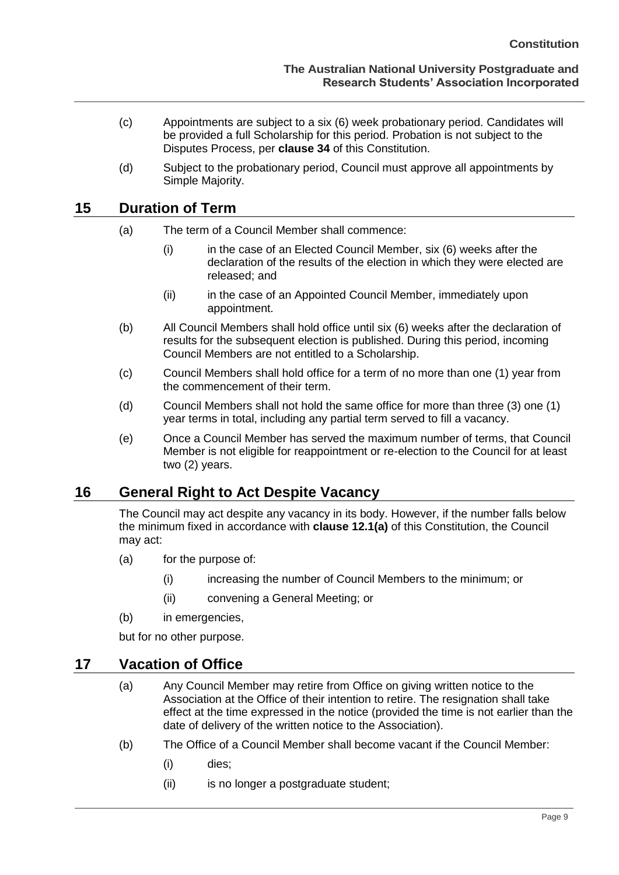- (c) Appointments are subject to a six (6) week probationary period. Candidates will be provided a full Scholarship for this period. Probation is not subject to the Disputes Process, per **clause 34** of this Constitution.
- (d) Subject to the probationary period, Council must approve all appointments by Simple Majority.

### <span id="page-13-0"></span>**15 Duration of Term**

- (a) The term of a Council Member shall commence:
	- (i) in the case of an Elected Council Member, six (6) weeks after the declaration of the results of the election in which they were elected are released; and
	- (ii) in the case of an Appointed Council Member, immediately upon appointment.
- (b) All Council Members shall hold office until six (6) weeks after the declaration of results for the subsequent election is published. During this period, incoming Council Members are not entitled to a Scholarship.
- (c) Council Members shall hold office for a term of no more than one (1) year from the commencement of their term.
- (d) Council Members shall not hold the same office for more than three (3) one (1) year terms in total, including any partial term served to fill a vacancy.
- (e) Once a Council Member has served the maximum number of terms, that Council Member is not eligible for reappointment or re-election to the Council for at least two (2) years.

## <span id="page-13-1"></span>**16 General Right to Act Despite Vacancy**

The Council may act despite any vacancy in its body. However, if the number falls below the minimum fixed in accordance with **clause 12.1(a)** of this Constitution, the Council may act:

- (a) for the purpose of:
	- (i) increasing the number of Council Members to the minimum; or
	- (ii) convening a General Meeting; or
- (b) in emergencies,

but for no other purpose.

#### <span id="page-13-2"></span>**17 Vacation of Office**

- (a) Any Council Member may retire from Office on giving written notice to the Association at the Office of their intention to retire. The resignation shall take effect at the time expressed in the notice (provided the time is not earlier than the date of delivery of the written notice to the Association).
- (b) The Office of a Council Member shall become vacant if the Council Member:
	- (i) dies;
	- (ii) is no longer a postgraduate student;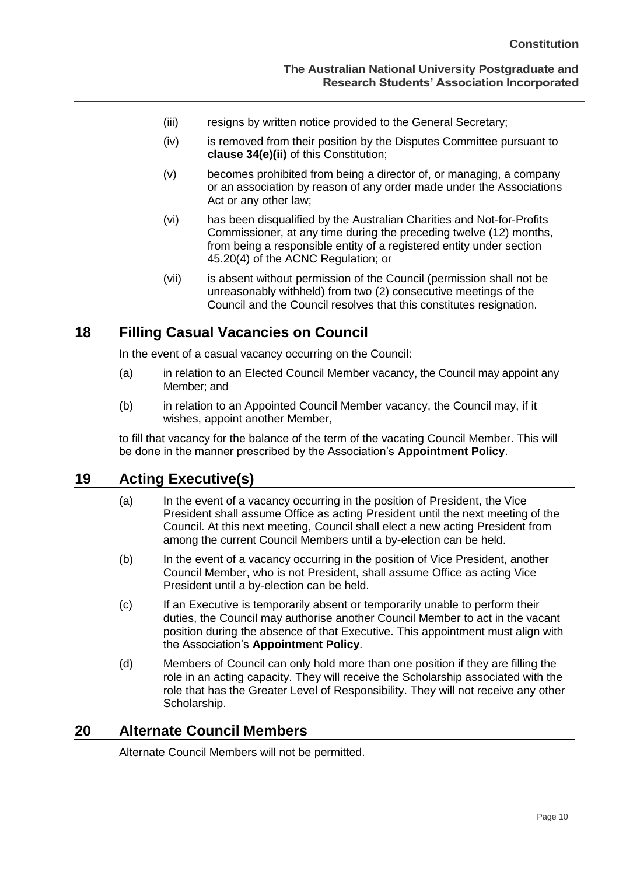- (iii) resigns by written notice provided to the General Secretary;
- (iv) is removed from their position by the Disputes Committee pursuant to **clause 34(e)(ii)** of this Constitution;
- (v) becomes prohibited from being a director of, or managing, a company or an association by reason of any order made under the Associations Act or any other law;
- (vi) has been disqualified by the Australian Charities and Not-for-Profits Commissioner, at any time during the preceding twelve (12) months, from being a responsible entity of a registered entity under section 45.20(4) of the ACNC Regulation; or
- (vii) is absent without permission of the Council (permission shall not be unreasonably withheld) from two (2) consecutive meetings of the Council and the Council resolves that this constitutes resignation.

### <span id="page-14-0"></span>**18 Filling Casual Vacancies on Council**

In the event of a casual vacancy occurring on the Council:

- (a) in relation to an Elected Council Member vacancy, the Council may appoint any Member; and
- (b) in relation to an Appointed Council Member vacancy, the Council may, if it wishes, appoint another Member,

to fill that vacancy for the balance of the term of the vacating Council Member. This will be done in the manner prescribed by the Association's **Appointment Policy**.

## <span id="page-14-1"></span>**19 Acting Executive(s)**

- (a) In the event of a vacancy occurring in the position of President, the Vice President shall assume Office as acting President until the next meeting of the Council. At this next meeting, Council shall elect a new acting President from among the current Council Members until a by-election can be held.
- (b) In the event of a vacancy occurring in the position of Vice President, another Council Member, who is not President, shall assume Office as acting Vice President until a by-election can be held.
- (c) If an Executive is temporarily absent or temporarily unable to perform their duties, the Council may authorise another Council Member to act in the vacant position during the absence of that Executive. This appointment must align with the Association's **Appointment Policy**.
- (d) Members of Council can only hold more than one position if they are filling the role in an acting capacity. They will receive the Scholarship associated with the role that has the Greater Level of Responsibility. They will not receive any other Scholarship.

### <span id="page-14-2"></span>**20 Alternate Council Members**

Alternate Council Members will not be permitted.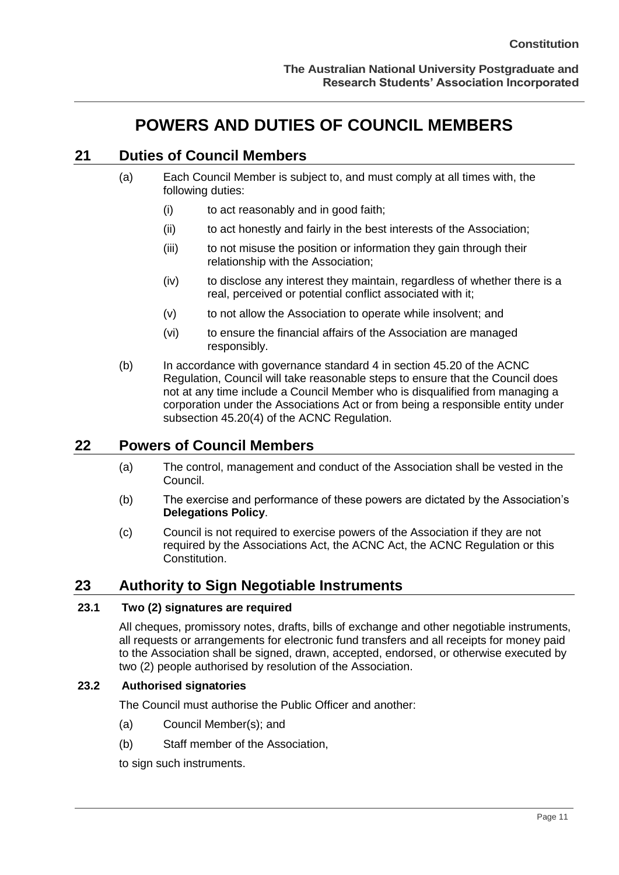## **POWERS AND DUTIES OF COUNCIL MEMBERS**

## <span id="page-15-1"></span><span id="page-15-0"></span>**21 Duties of Council Members**

- (a) Each Council Member is subject to, and must comply at all times with, the following duties:
	- (i) to act reasonably and in good faith;
	- (ii) to act honestly and fairly in the best interests of the Association;
	- (iii) to not misuse the position or information they gain through their relationship with the Association;
	- (iv) to disclose any interest they maintain, regardless of whether there is a real, perceived or potential conflict associated with it;
	- (v) to not allow the Association to operate while insolvent; and
	- (vi) to ensure the financial affairs of the Association are managed responsibly.
- (b) In accordance with governance standard 4 in section 45.20 of the ACNC Regulation, Council will take reasonable steps to ensure that the Council does not at any time include a Council Member who is disqualified from managing a corporation under the Associations Act or from being a responsible entity under subsection 45.20(4) of the ACNC Regulation.

## <span id="page-15-2"></span>**22 Powers of Council Members**

- (a) The control, management and conduct of the Association shall be vested in the Council.
- (b) The exercise and performance of these powers are dictated by the Association's **Delegations Policy**.
- (c) Council is not required to exercise powers of the Association if they are not required by the Associations Act, the ACNC Act, the ACNC Regulation or this Constitution.

## <span id="page-15-3"></span>**23 Authority to Sign Negotiable Instruments**

#### <span id="page-15-4"></span>**23.1 Two (2) signatures are required**

All cheques, promissory notes, drafts, bills of exchange and other negotiable instruments, all requests or arrangements for electronic fund transfers and all receipts for money paid to the Association shall be signed, drawn, accepted, endorsed, or otherwise executed by two (2) people authorised by resolution of the Association.

#### <span id="page-15-5"></span>**23.2 Authorised signatories**

The Council must authorise the Public Officer and another:

- (a) Council Member(s); and
- (b) Staff member of the Association,

to sign such instruments.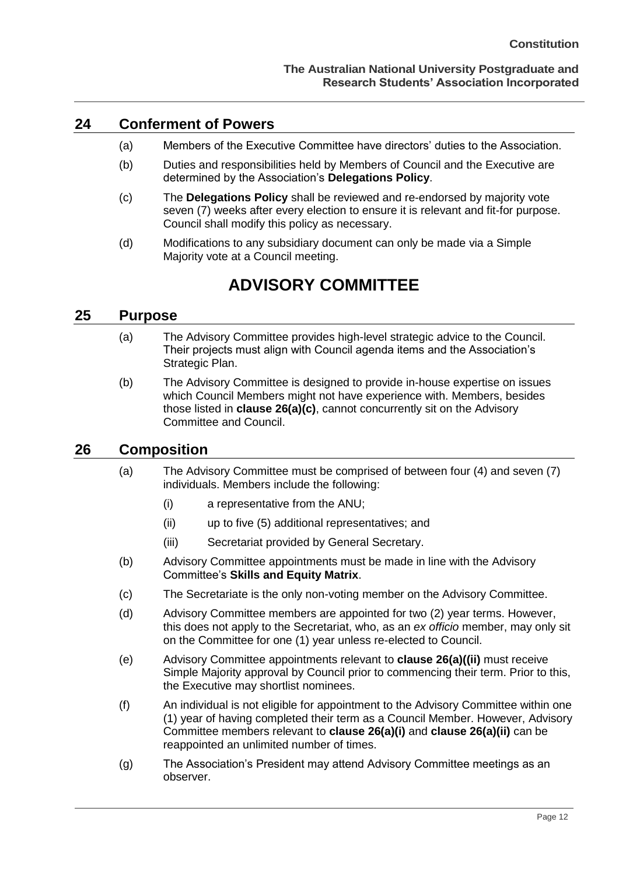#### <span id="page-16-0"></span>**24 Conferment of Powers**

- (a) Members of the Executive Committee have directors' duties to the Association.
- (b) Duties and responsibilities held by Members of Council and the Executive are determined by the Association's **Delegations Policy**.
- (c) The **Delegations Policy** shall be reviewed and re-endorsed by majority vote seven (7) weeks after every election to ensure it is relevant and fit-for purpose. Council shall modify this policy as necessary.
- (d) Modifications to any subsidiary document can only be made via a Simple Majority vote at a Council meeting.

## **ADVISORY COMMITTEE**

#### <span id="page-16-2"></span><span id="page-16-1"></span>**25 Purpose**

- (a) The Advisory Committee provides high-level strategic advice to the Council. Their projects must align with Council agenda items and the Association's Strategic Plan.
- (b) The Advisory Committee is designed to provide in-house expertise on issues which Council Members might not have experience with. Members, besides those listed in **clause 26(a)(c)**, cannot concurrently sit on the Advisory Committee and Council.

#### <span id="page-16-3"></span>**26 Composition**

- (a) The Advisory Committee must be comprised of between four (4) and seven (7) individuals. Members include the following:
	- (i) a representative from the ANU;
	- (ii) up to five (5) additional representatives; and
	- (iii) Secretariat provided by General Secretary.
- (b) Advisory Committee appointments must be made in line with the Advisory Committee's **Skills and Equity Matrix**.
- (c) The Secretariate is the only non-voting member on the Advisory Committee.
- (d) Advisory Committee members are appointed for two (2) year terms. However, this does not apply to the Secretariat, who, as an *ex officio* member, may only sit on the Committee for one (1) year unless re-elected to Council.
- (e) Advisory Committee appointments relevant to **clause 26(a)((ii)** must receive Simple Majority approval by Council prior to commencing their term. Prior to this, the Executive may shortlist nominees.
- (f) An individual is not eligible for appointment to the Advisory Committee within one (1) year of having completed their term as a Council Member. However, Advisory Committee members relevant to **clause 26(a)(i)** and **clause 26(a)(ii)** can be reappointed an unlimited number of times.
- (g) The Association's President may attend Advisory Committee meetings as an observer.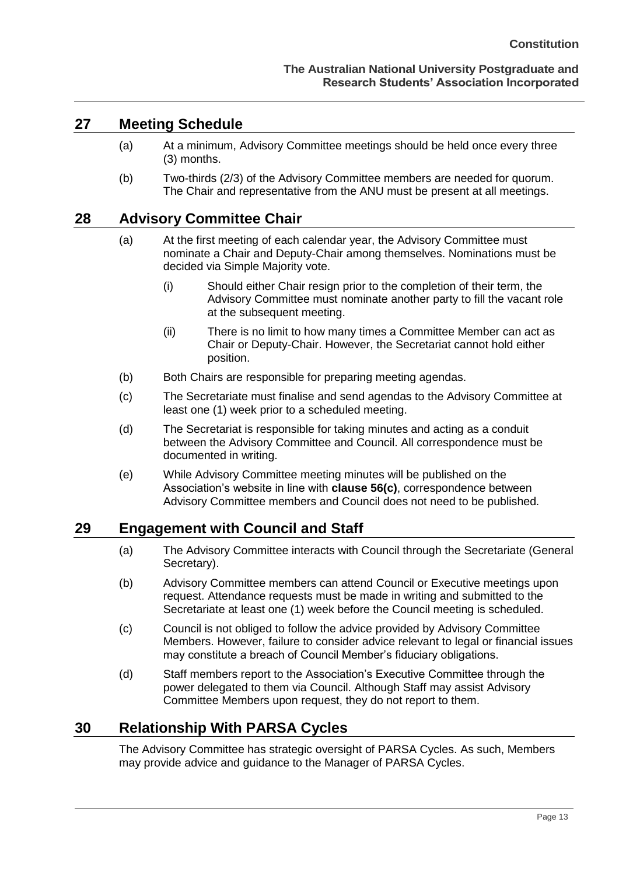#### <span id="page-17-0"></span>**27 Meeting Schedule**

- (a) At a minimum, Advisory Committee meetings should be held once every three (3) months.
- (b) Two-thirds (2/3) of the Advisory Committee members are needed for quorum. The Chair and representative from the ANU must be present at all meetings.

#### <span id="page-17-1"></span>**28 Advisory Committee Chair**

- (a) At the first meeting of each calendar year, the Advisory Committee must nominate a Chair and Deputy-Chair among themselves. Nominations must be decided via Simple Majority vote.
	- (i) Should either Chair resign prior to the completion of their term, the Advisory Committee must nominate another party to fill the vacant role at the subsequent meeting.
	- (ii) There is no limit to how many times a Committee Member can act as Chair or Deputy-Chair. However, the Secretariat cannot hold either position.
- (b) Both Chairs are responsible for preparing meeting agendas.
- (c) The Secretariate must finalise and send agendas to the Advisory Committee at least one (1) week prior to a scheduled meeting.
- (d) The Secretariat is responsible for taking minutes and acting as a conduit between the Advisory Committee and Council. All correspondence must be documented in writing.
- (e) While Advisory Committee meeting minutes will be published on the Association's website in line with **clause 56(c)**, correspondence between Advisory Committee members and Council does not need to be published.

#### <span id="page-17-2"></span>**29 Engagement with Council and Staff**

- (a) The Advisory Committee interacts with Council through the Secretariate (General Secretary).
- (b) Advisory Committee members can attend Council or Executive meetings upon request. Attendance requests must be made in writing and submitted to the Secretariate at least one (1) week before the Council meeting is scheduled.
- (c) Council is not obliged to follow the advice provided by Advisory Committee Members. However, failure to consider advice relevant to legal or financial issues may constitute a breach of Council Member's fiduciary obligations.
- (d) Staff members report to the Association's Executive Committee through the power delegated to them via Council. Although Staff may assist Advisory Committee Members upon request, they do not report to them.

## <span id="page-17-3"></span>**30 Relationship With PARSA Cycles**

The Advisory Committee has strategic oversight of PARSA Cycles. As such, Members may provide advice and guidance to the Manager of PARSA Cycles.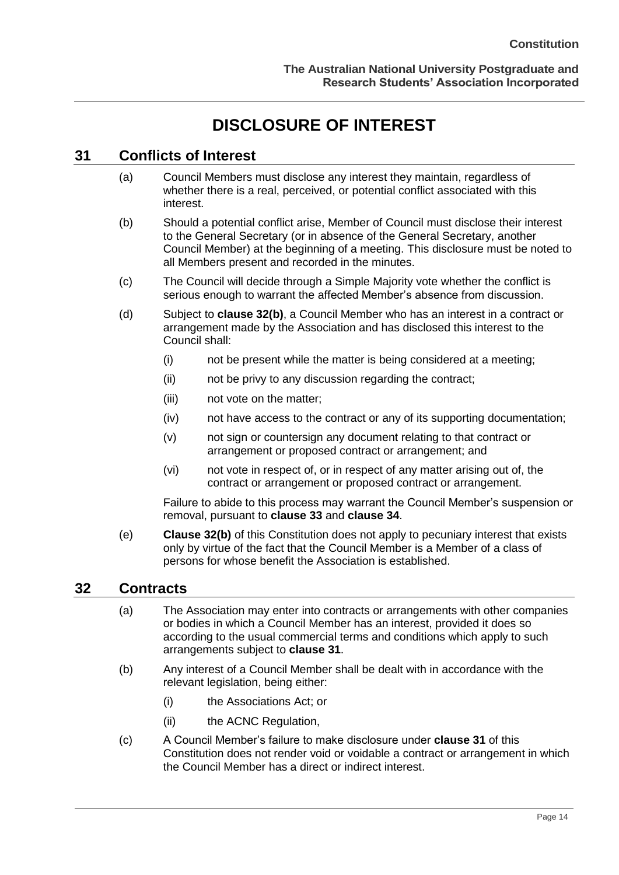## **DISCLOSURE OF INTEREST**

## <span id="page-18-1"></span><span id="page-18-0"></span>**31 Conflicts of Interest**

- (a) Council Members must disclose any interest they maintain, regardless of whether there is a real, perceived, or potential conflict associated with this interest.
- (b) Should a potential conflict arise, Member of Council must disclose their interest to the General Secretary (or in absence of the General Secretary, another Council Member) at the beginning of a meeting. This disclosure must be noted to all Members present and recorded in the minutes.
- (c) The Council will decide through a Simple Majority vote whether the conflict is serious enough to warrant the affected Member's absence from discussion.
- (d) Subject to **clause [32\(b\)](#page-18-3)**, a Council Member who has an interest in a contract or arrangement made by the Association and has disclosed this interest to the Council shall:
	- (i) not be present while the matter is being considered at a meeting;
	- (ii) not be privy to any discussion regarding the contract;
	- (iii) not vote on the matter;
	- (iv) not have access to the contract or any of its supporting documentation;
	- (v) not sign or countersign any document relating to that contract or arrangement or proposed contract or arrangement; and
	- (vi) not vote in respect of, or in respect of any matter arising out of, the contract or arrangement or proposed contract or arrangement.

Failure to abide to this process may warrant the Council Member's suspension or removal, pursuant to **clause 33** and **clause 34**.

(e) **Clause [32\(b\)](#page-18-3)** of this Constitution does not apply to pecuniary interest that exists only by virtue of the fact that the Council Member is a Member of a class of persons for whose benefit the Association is established.

#### <span id="page-18-2"></span>**32 Contracts**

- (a) The Association may enter into contracts or arrangements with other companies or bodies in which a Council Member has an interest, provided it does so according to the usual commercial terms and conditions which apply to such arrangements subject to **clause 31**.
- <span id="page-18-3"></span>(b) Any interest of a Council Member shall be dealt with in accordance with the relevant legislation, being either:
	- (i) the Associations Act; or
	- (ii) the ACNC Regulation,
- (c) A Council Member's failure to make disclosure under **clause 31** of this Constitution does not render void or voidable a contract or arrangement in which the Council Member has a direct or indirect interest.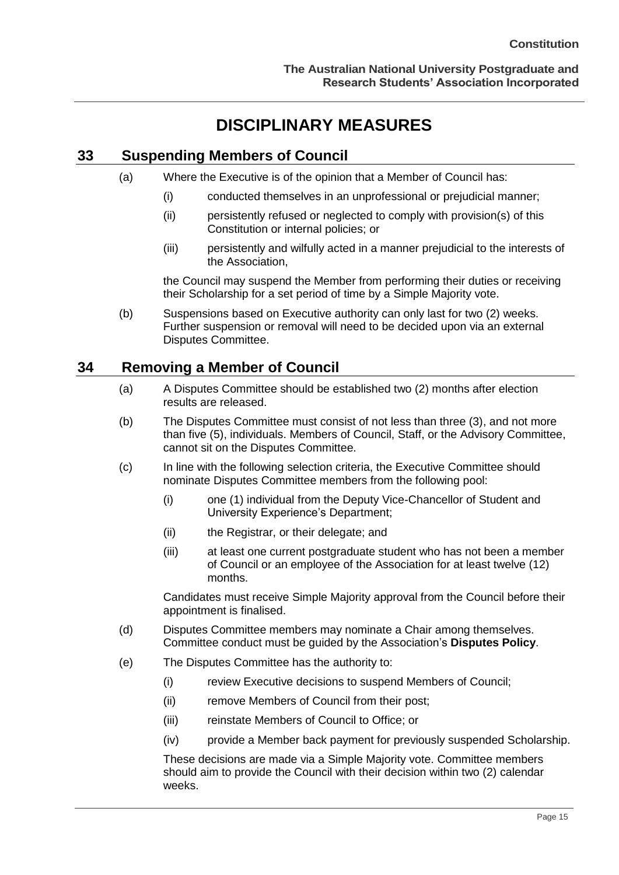## **DISCIPLINARY MEASURES**

## <span id="page-19-1"></span><span id="page-19-0"></span>**33 Suspending Members of Council**

- (a) Where the Executive is of the opinion that a Member of Council has:
	- (i) conducted themselves in an unprofessional or prejudicial manner;
	- (ii) persistently refused or neglected to comply with provision(s) of this Constitution or internal policies; or
	- (iii) persistently and wilfully acted in a manner prejudicial to the interests of the Association,

the Council may suspend the Member from performing their duties or receiving their Scholarship for a set period of time by a Simple Majority vote.

(b) Suspensions based on Executive authority can only last for two (2) weeks. Further suspension or removal will need to be decided upon via an external Disputes Committee.

## <span id="page-19-2"></span>**34 Removing a Member of Council**

- (a) A Disputes Committee should be established two (2) months after election results are released.
- (b) The Disputes Committee must consist of not less than three (3), and not more than five (5), individuals. Members of Council, Staff, or the Advisory Committee, cannot sit on the Disputes Committee.
- (c) In line with the following selection criteria, the Executive Committee should nominate Disputes Committee members from the following pool:
	- (i) one (1) individual from the Deputy Vice-Chancellor of Student and University Experience's Department;
	- (ii) the Registrar, or their delegate; and
	- (iii) at least one current postgraduate student who has not been a member of Council or an employee of the Association for at least twelve (12) months.

Candidates must receive Simple Majority approval from the Council before their appointment is finalised.

- (d) Disputes Committee members may nominate a Chair among themselves. Committee conduct must be guided by the Association's **Disputes Policy**.
- (e) The Disputes Committee has the authority to:
	- (i) review Executive decisions to suspend Members of Council;
	- (ii) remove Members of Council from their post;
	- (iii) reinstate Members of Council to Office; or
	- (iv) provide a Member back payment for previously suspended Scholarship.

These decisions are made via a Simple Majority vote. Committee members should aim to provide the Council with their decision within two (2) calendar weeks.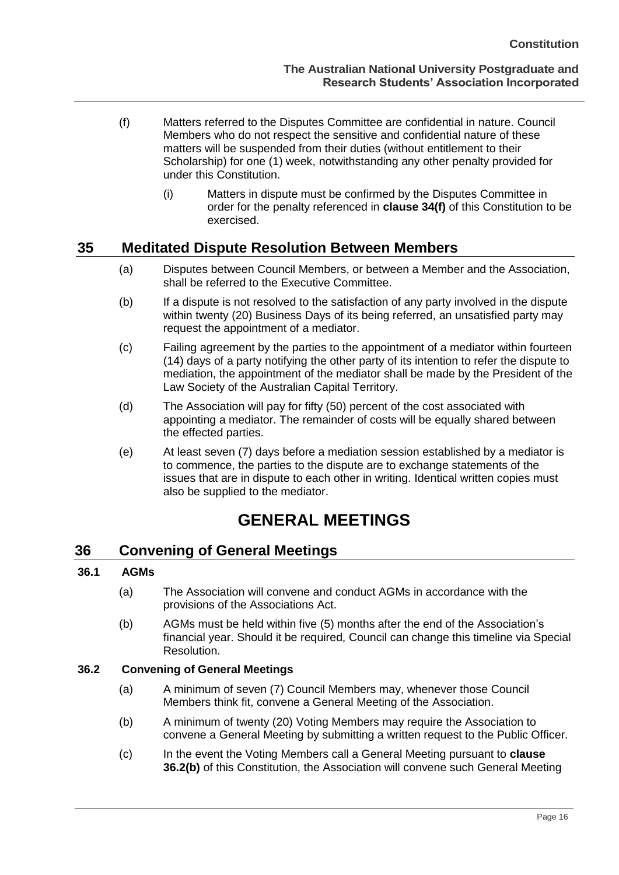- (f) Matters referred to the Disputes Committee are confidential in nature. Council Members who do not respect the sensitive and confidential nature of these matters will be suspended from their duties (without entitlement to their Scholarship) for one (1) week, notwithstanding any other penalty provided for under this Constitution.
	- (i) Matters in dispute must be confirmed by the Disputes Committee in order for the penalty referenced in **clause 34(f)** of this Constitution to be exercised.

## <span id="page-20-0"></span>**35 Meditated Dispute Resolution Between Members**

- (a) Disputes between Council Members, or between a Member and the Association, shall be referred to the Executive Committee.
- (b) If a dispute is not resolved to the satisfaction of any party involved in the dispute within twenty (20) Business Days of its being referred, an unsatisfied party may request the appointment of a mediator.
- (c) Failing agreement by the parties to the appointment of a mediator within fourteen (14) days of a party notifying the other party of its intention to refer the dispute to mediation, the appointment of the mediator shall be made by the President of the Law Society of the Australian Capital Territory.
- (d) The Association will pay for fifty (50) percent of the cost associated with appointing a mediator. The remainder of costs will be equally shared between the effected parties.
- (e) At least seven (7) days before a mediation session established by a mediator is to commence, the parties to the dispute are to exchange statements of the issues that are in dispute to each other in writing. Identical written copies must also be supplied to the mediator.

## **GENERAL MEETINGS**

#### <span id="page-20-2"></span><span id="page-20-1"></span>**36 Convening of General Meetings**

#### <span id="page-20-3"></span>**36.1 AGMs**

- (a) The Association will convene and conduct AGMs in accordance with the provisions of the Associations Act.
- (b) AGMs must be held within five (5) months after the end of the Association's financial year. Should it be required, Council can change this timeline via Special Resolution.

#### <span id="page-20-5"></span><span id="page-20-4"></span>**36.2 Convening of General Meetings**

- (a) A minimum of seven (7) Council Members may, whenever those Council Members think fit, convene a General Meeting of the Association.
- (b) A minimum of twenty (20) Voting Members may require the Association to convene a General Meeting by submitting a written request to the Public Officer.
- (c) In the event the Voting Members call a General Meeting pursuant to **clause 36.2(b)** of this Constitution, the Association will convene such General Meeting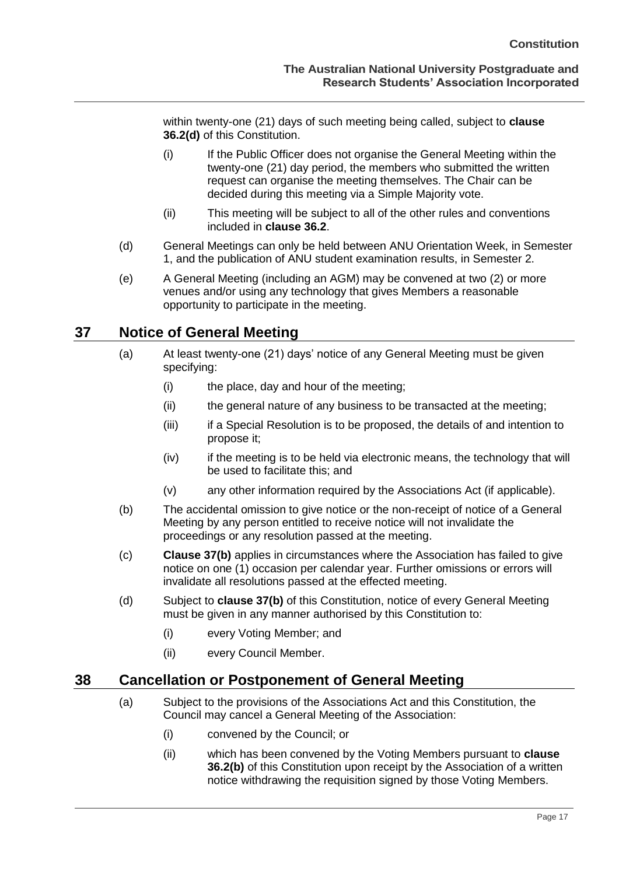within twenty-one (21) days of such meeting being called, subject to **clause [36.2\(d\)](#page-21-2)** of this Constitution.

- (i) If the Public Officer does not organise the General Meeting within the twenty-one (21) day period, the members who submitted the written request can organise the meeting themselves. The Chair can be decided during this meeting via a Simple Majority vote.
- (ii) This meeting will be subject to all of the other rules and conventions included in **clause 36.2**.
- <span id="page-21-2"></span>(d) General Meetings can only be held between ANU Orientation Week, in Semester 1, and the publication of ANU student examination results, in Semester 2.
- (e) A General Meeting (including an AGM) may be convened at two (2) or more venues and/or using any technology that gives Members a reasonable opportunity to participate in the meeting.

### <span id="page-21-0"></span>**37 Notice of General Meeting**

- (a) At least twenty-one (21) days' notice of any General Meeting must be given specifying:
	- (i) the place, day and hour of the meeting;
	- (ii) the general nature of any business to be transacted at the meeting;
	- (iii) if a Special Resolution is to be proposed, the details of and intention to propose it;
	- (iv) if the meeting is to be held via electronic means, the technology that will be used to facilitate this; and
	- (v) any other information required by the Associations Act (if applicable).
- <span id="page-21-3"></span>(b) The accidental omission to give notice or the non-receipt of notice of a General Meeting by any person entitled to receive notice will not invalidate the proceedings or any resolution passed at the meeting.
- (c) **Clause 37(b)** applies in circumstances where the Association has failed to give notice on one (1) occasion per calendar year. Further omissions or errors will invalidate all resolutions passed at the effected meeting.
- (d) Subject to **clause [37\(b\)](#page-21-3)** of this Constitution, notice of every General Meeting must be given in any manner authorised by this Constitution to:
	- (i) every Voting Member; and
	- (ii) every Council Member.

#### <span id="page-21-1"></span>**38 Cancellation or Postponement of General Meeting**

- (a) Subject to the provisions of the Associations Act and this Constitution, the Council may cancel a General Meeting of the Association:
	- (i) convened by the Council; or
	- (ii) which has been convened by the Voting Members pursuant to **clause [36.2\(b\)](#page-20-5)** of this Constitution upon receipt by the Association of a written notice withdrawing the requisition signed by those Voting Members.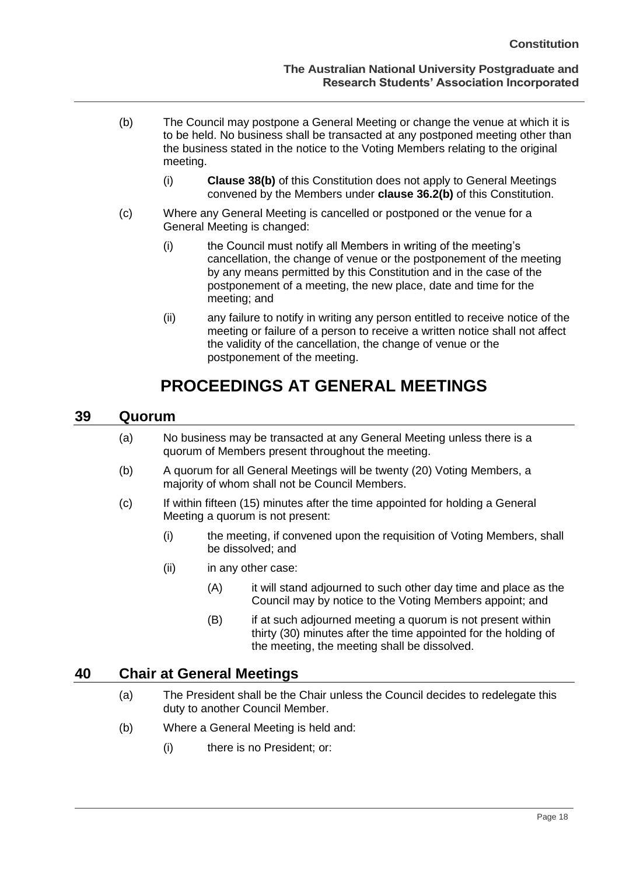- (b) The Council may postpone a General Meeting or change the venue at which it is to be held. No business shall be transacted at any postponed meeting other than the business stated in the notice to the Voting Members relating to the original meeting.
	- (i) **Clause 38(b)** of this Constitution does not apply to General Meetings convened by the Members under **clause 36.2(b)** of this Constitution.
- (c) Where any General Meeting is cancelled or postponed or the venue for a General Meeting is changed:
	- (i) the Council must notify all Members in writing of the meeting's cancellation, the change of venue or the postponement of the meeting by any means permitted by this Constitution and in the case of the postponement of a meeting, the new place, date and time for the meeting; and
	- (ii) any failure to notify in writing any person entitled to receive notice of the meeting or failure of a person to receive a written notice shall not affect the validity of the cancellation, the change of venue or the postponement of the meeting.

## **PROCEEDINGS AT GENERAL MEETINGS**

#### <span id="page-22-1"></span><span id="page-22-0"></span>**39 Quorum**

- (a) No business may be transacted at any General Meeting unless there is a quorum of Members present throughout the meeting.
- (b) A quorum for all General Meetings will be twenty (20) Voting Members, a majority of whom shall not be Council Members.
- (c) If within fifteen (15) minutes after the time appointed for holding a General Meeting a quorum is not present:
	- (i) the meeting, if convened upon the requisition of Voting Members, shall be dissolved; and
	- (ii) in any other case:
		- (A) it will stand adjourned to such other day time and place as the Council may by notice to the Voting Members appoint; and
		- (B) if at such adjourned meeting a quorum is not present within thirty (30) minutes after the time appointed for the holding of the meeting, the meeting shall be dissolved.

#### <span id="page-22-2"></span>**40 Chair at General Meetings**

- (a) The President shall be the Chair unless the Council decides to redelegate this duty to another Council Member.
- (b) Where a General Meeting is held and:
	- (i) there is no President; or: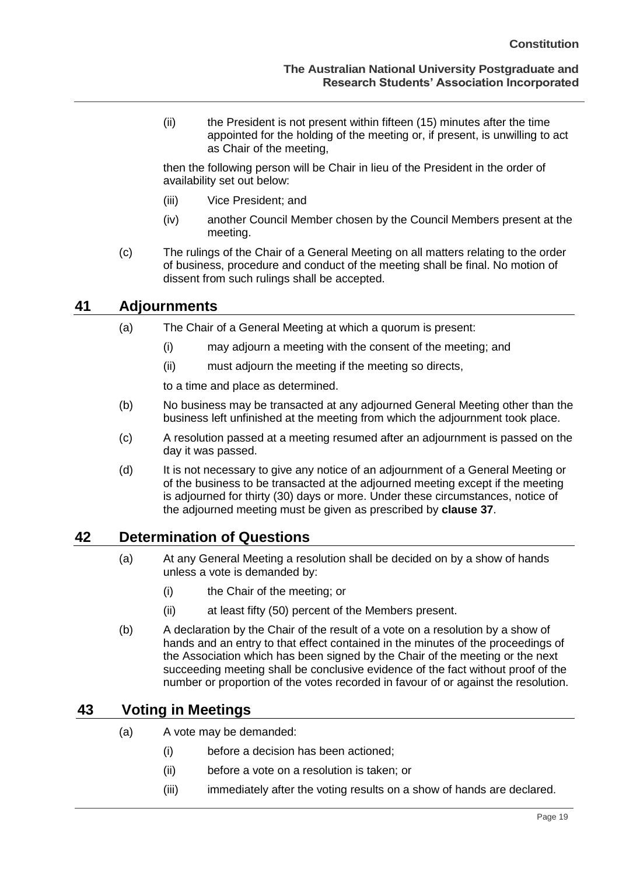(ii) the President is not present within fifteen (15) minutes after the time appointed for the holding of the meeting or, if present, is unwilling to act as Chair of the meeting,

then the following person will be Chair in lieu of the President in the order of availability set out below:

- (iii) Vice President; and
- (iv) another Council Member chosen by the Council Members present at the meeting.
- (c) The rulings of the Chair of a General Meeting on all matters relating to the order of business, procedure and conduct of the meeting shall be final. No motion of dissent from such rulings shall be accepted.

### <span id="page-23-0"></span>**41 Adjournments**

- (a) The Chair of a General Meeting at which a quorum is present:
	- (i) may adjourn a meeting with the consent of the meeting; and
	- (ii) must adjourn the meeting if the meeting so directs,

to a time and place as determined.

- (b) No business may be transacted at any adjourned General Meeting other than the business left unfinished at the meeting from which the adjournment took place.
- (c) A resolution passed at a meeting resumed after an adjournment is passed on the day it was passed.
- (d) It is not necessary to give any notice of an adjournment of a General Meeting or of the business to be transacted at the adjourned meeting except if the meeting is adjourned for thirty (30) days or more. Under these circumstances, notice of the adjourned meeting must be given as prescribed by **clause 37**.

## <span id="page-23-1"></span>**42 Determination of Questions**

- (a) At any General Meeting a resolution shall be decided on by a show of hands unless a vote is demanded by:
	- (i) the Chair of the meeting; or
	- (ii) at least fifty (50) percent of the Members present.
- (b) A declaration by the Chair of the result of a vote on a resolution by a show of hands and an entry to that effect contained in the minutes of the proceedings of the Association which has been signed by the Chair of the meeting or the next succeeding meeting shall be conclusive evidence of the fact without proof of the number or proportion of the votes recorded in favour of or against the resolution.

## <span id="page-23-2"></span>**43 Voting in Meetings**

- (a) A vote may be demanded:
	- (i) before a decision has been actioned;
	- (ii) before a vote on a resolution is taken; or
	- (iii) immediately after the voting results on a show of hands are declared.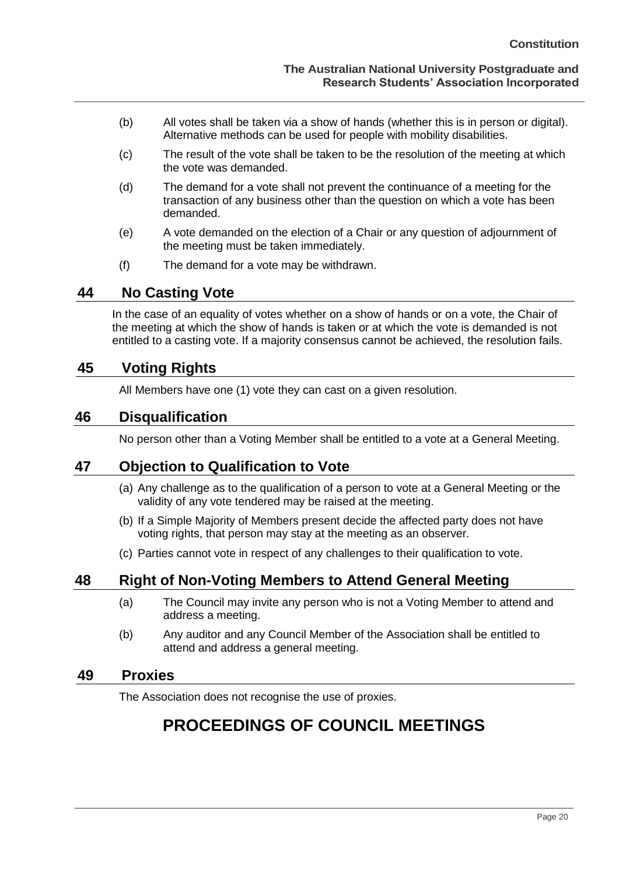- (b) All votes shall be taken via a show of hands (whether this is in person or digital). Alternative methods can be used for people with mobility disabilities.
- (c) The result of the vote shall be taken to be the resolution of the meeting at which the vote was demanded.
- (d) The demand for a vote shall not prevent the continuance of a meeting for the transaction of any business other than the question on which a vote has been demanded.
- (e) A vote demanded on the election of a Chair or any question of adjournment of the meeting must be taken immediately.
- (f) The demand for a vote may be withdrawn.

### <span id="page-24-0"></span>**44 No Casting Vote**

In the case of an equality of votes whether on a show of hands or on a vote, the Chair of the meeting at which the show of hands is taken or at which the vote is demanded is not entitled to a casting vote. If a majority consensus cannot be achieved, the resolution fails.

## <span id="page-24-1"></span>**45 Voting Rights**

All Members have one (1) vote they can cast on a given resolution.

## <span id="page-24-2"></span>**46 Disqualification**

No person other than a Voting Member shall be entitled to a vote at a General Meeting.

## <span id="page-24-3"></span>**47 Objection to Qualification to Vote**

- (a) Any challenge as to the qualification of a person to vote at a General Meeting or the validity of any vote tendered may be raised at the meeting.
- (b) If a Simple Majority of Members present decide the affected party does not have voting rights, that person may stay at the meeting as an observer.
- (c) Parties cannot vote in respect of any challenges to their qualification to vote.

## <span id="page-24-4"></span>**48 Right of Non-Voting Members to Attend General Meeting**

- (a) The Council may invite any person who is not a Voting Member to attend and address a meeting.
- (b) Any auditor and any Council Member of the Association shall be entitled to attend and address a general meeting.

#### <span id="page-24-6"></span><span id="page-24-5"></span>**49 Proxies**

The Association does not recognise the use of proxies.

## **PROCEEDINGS OF COUNCIL MEETINGS**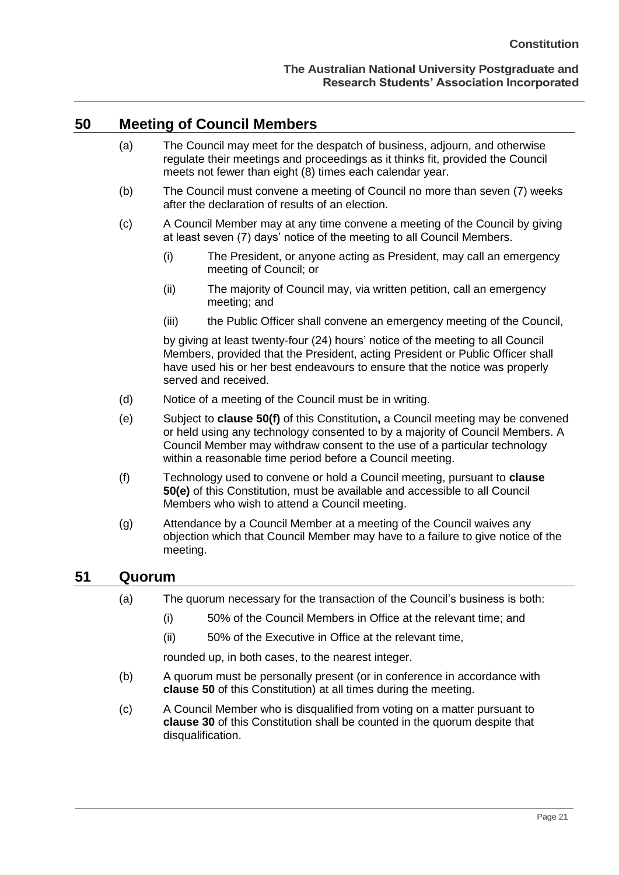#### <span id="page-25-0"></span>**50 Meeting of Council Members**

- (a) The Council may meet for the despatch of business, adjourn, and otherwise regulate their meetings and proceedings as it thinks fit, provided the Council meets not fewer than eight (8) times each calendar year.
- (b) The Council must convene a meeting of Council no more than seven (7) weeks after the declaration of results of an election.
- (c) A Council Member may at any time convene a meeting of the Council by giving at least seven (7) days' notice of the meeting to all Council Members.
	- (i) The President, or anyone acting as President, may call an emergency meeting of Council; or
	- (ii) The majority of Council may, via written petition, call an emergency meeting; and
	- (iii) the Public Officer shall convene an emergency meeting of the Council,

by giving at least twenty-four (24) hours' notice of the meeting to all Council Members, provided that the President, acting President or Public Officer shall have used his or her best endeavours to ensure that the notice was properly served and received.

- (d) Notice of a meeting of the Council must be in writing.
- <span id="page-25-3"></span>(e) Subject to **clause [50\(f\)](#page-25-2)** of this Constitution**,** a Council meeting may be convened or held using any technology consented to by a majority of Council Members. A Council Member may withdraw consent to the use of a particular technology within a reasonable time period before a Council meeting.
- <span id="page-25-2"></span>(f) Technology used to convene or hold a Council meeting, pursuant to **clause [50\(e\)](#page-25-3)** of this Constitution, must be available and accessible to all Council Members who wish to attend a Council meeting.
- (g) Attendance by a Council Member at a meeting of the Council waives any objection which that Council Member may have to a failure to give notice of the meeting.

#### <span id="page-25-1"></span>**51 Quorum**

- (a) The quorum necessary for the transaction of the Council's business is both:
	- (i) 50% of the Council Members in Office at the relevant time; and
	- (ii) 50% of the Executive in Office at the relevant time,

rounded up, in both cases, to the nearest integer.

- (b) A quorum must be personally present (or in conference in accordance with **clause [50](#page-25-0)** of this Constitution) at all times during the meeting.
- (c) A Council Member who is disqualified from voting on a matter pursuant to **clause 30** of this Constitution shall be counted in the quorum despite that disqualification.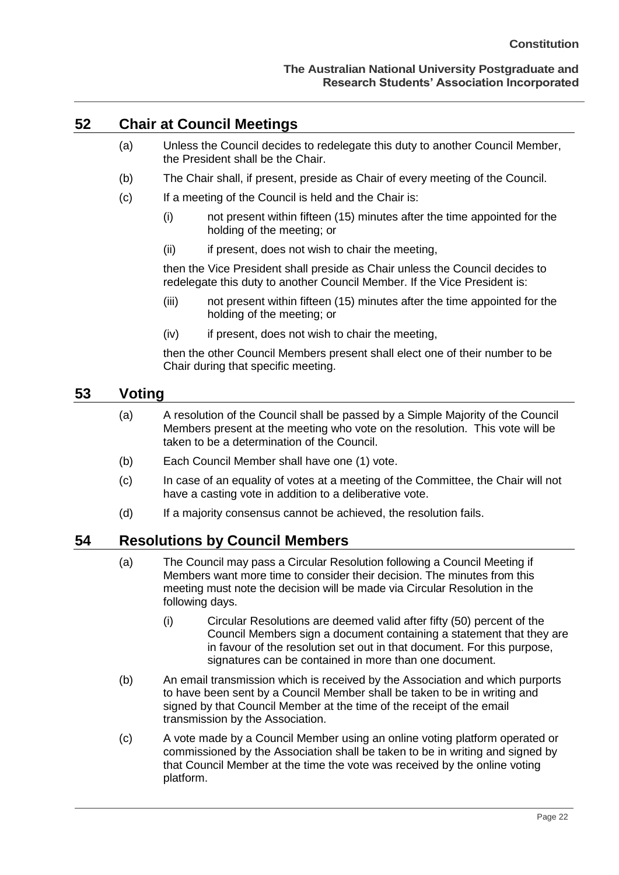#### <span id="page-26-0"></span>**52 Chair at Council Meetings**

- (a) Unless the Council decides to redelegate this duty to another Council Member, the President shall be the Chair.
- (b) The Chair shall, if present, preside as Chair of every meeting of the Council.
- (c) If a meeting of the Council is held and the Chair is:
	- (i) not present within fifteen (15) minutes after the time appointed for the holding of the meeting; or
	- (ii) if present, does not wish to chair the meeting,

then the Vice President shall preside as Chair unless the Council decides to redelegate this duty to another Council Member. If the Vice President is:

- (iii) not present within fifteen (15) minutes after the time appointed for the holding of the meeting; or
- (iv) if present, does not wish to chair the meeting,

then the other Council Members present shall elect one of their number to be Chair during that specific meeting.

### <span id="page-26-1"></span>**53 Voting**

- (a) A resolution of the Council shall be passed by a Simple Majority of the Council Members present at the meeting who vote on the resolution. This vote will be taken to be a determination of the Council.
- (b) Each Council Member shall have one (1) vote.
- (c) In case of an equality of votes at a meeting of the Committee, the Chair will not have a casting vote in addition to a deliberative vote.
- (d) If a majority consensus cannot be achieved, the resolution fails.

#### <span id="page-26-2"></span>**54 Resolutions by Council Members**

- (a) The Council may pass a Circular Resolution following a Council Meeting if Members want more time to consider their decision. The minutes from this meeting must note the decision will be made via Circular Resolution in the following days.
	- (i) Circular Resolutions are deemed valid after fifty (50) percent of the Council Members sign a document containing a statement that they are in favour of the resolution set out in that document. For this purpose, signatures can be contained in more than one document.
- (b) An email transmission which is received by the Association and which purports to have been sent by a Council Member shall be taken to be in writing and signed by that Council Member at the time of the receipt of the email transmission by the Association.
- (c) A vote made by a Council Member using an online voting platform operated or commissioned by the Association shall be taken to be in writing and signed by that Council Member at the time the vote was received by the online voting platform.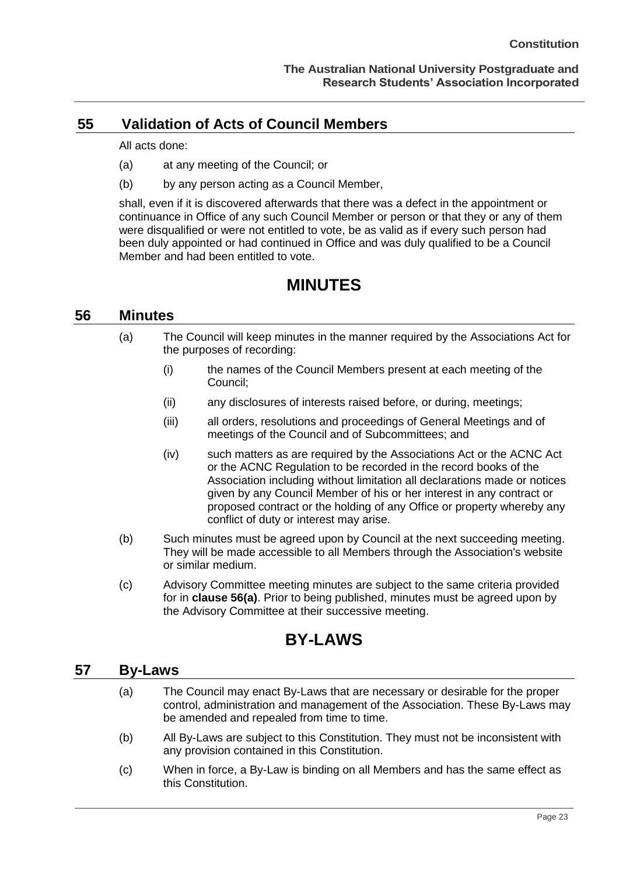## <span id="page-27-0"></span>**55 Validation of Acts of Council Members**

All acts done:

- (a) at any meeting of the Council; or
- (b) by any person acting as a Council Member,

shall, even if it is discovered afterwards that there was a defect in the appointment or continuance in Office of any such Council Member or person or that they or any of them were disqualified or were not entitled to vote, be as valid as if every such person had been duly appointed or had continued in Office and was duly qualified to be a Council Member and had been entitled to vote.

## **MINUTES**

#### <span id="page-27-2"></span><span id="page-27-1"></span>**56 Minutes**

- (a) The Council will keep minutes in the manner required by the Associations Act for the purposes of recording:
	- (i) the names of the Council Members present at each meeting of the Council;
	- (ii) any disclosures of interests raised before, or during, meetings;
	- (iii) all orders, resolutions and proceedings of General Meetings and of meetings of the Council and of Subcommittees; and
	- (iv) such matters as are required by the Associations Act or the ACNC Act or the ACNC Regulation to be recorded in the record books of the Association including without limitation all declarations made or notices given by any Council Member of his or her interest in any contract or proposed contract or the holding of any Office or property whereby any conflict of duty or interest may arise.
- (b) Such minutes must be agreed upon by Council at the next succeeding meeting. They will be made accessible to all Members through the Association's website or similar medium.
- (c) Advisory Committee meeting minutes are subject to the same criteria provided for in **clause 56(a)**. Prior to being published, minutes must be agreed upon by the Advisory Committee at their successive meeting.

## **BY-LAWS**

#### <span id="page-27-4"></span><span id="page-27-3"></span>**57 By-Laws**

- (a) The Council may enact By-Laws that are necessary or desirable for the proper control, administration and management of the Association. These By-Laws may be amended and repealed from time to time.
- (b) All By-Laws are subject to this Constitution. They must not be inconsistent with any provision contained in this Constitution.
- (c) When in force, a By-Law is binding on all Members and has the same effect as this Constitution.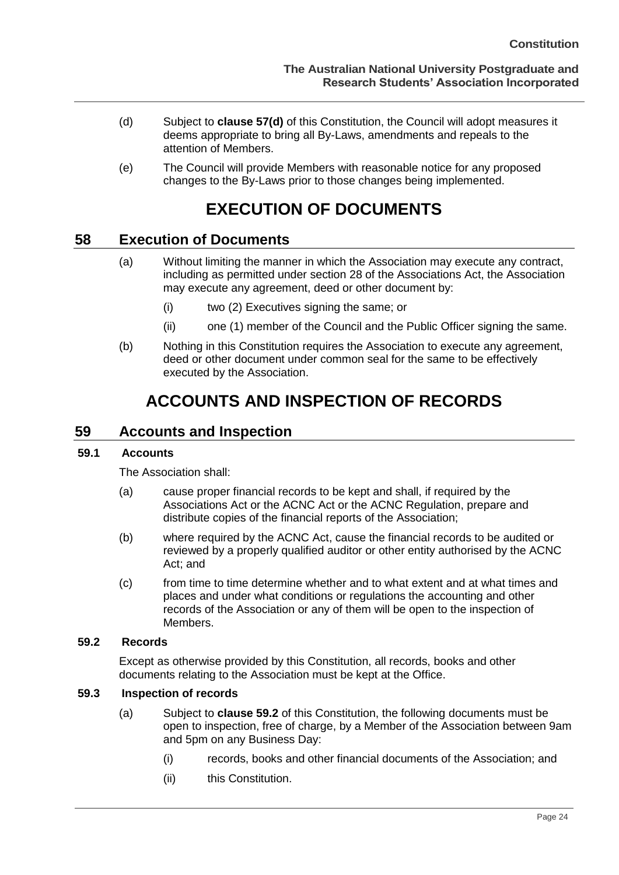- <span id="page-28-7"></span>(d) Subject to **clause [57\(d\)](#page-28-7)** of this Constitution, the Council will adopt measures it deems appropriate to bring all By-Laws, amendments and repeals to the attention of Members.
- (e) The Council will provide Members with reasonable notice for any proposed changes to the By-Laws prior to those changes being implemented.

## **EXECUTION OF DOCUMENTS**

## <span id="page-28-1"></span><span id="page-28-0"></span>**58 Execution of Documents**

- (a) Without limiting the manner in which the Association may execute any contract, including as permitted under section 28 of the Associations Act, the Association may execute any agreement, deed or other document by:
	- (i) two (2) Executives signing the same; or
	- (ii) one (1) member of the Council and the Public Officer signing the same.
- (b) Nothing in this Constitution requires the Association to execute any agreement, deed or other document under common seal for the same to be effectively executed by the Association.

## **ACCOUNTS AND INSPECTION OF RECORDS**

#### <span id="page-28-3"></span><span id="page-28-2"></span>**59 Accounts and Inspection**

#### <span id="page-28-4"></span>**59.1 Accounts**

The Association shall:

- (a) cause proper financial records to be kept and shall, if required by the Associations Act or the ACNC Act or the ACNC Regulation, prepare and distribute copies of the financial reports of the Association;
- (b) where required by the ACNC Act, cause the financial records to be audited or reviewed by a properly qualified auditor or other entity authorised by the ACNC Act; and
- (c) from time to time determine whether and to what extent and at what times and places and under what conditions or regulations the accounting and other records of the Association or any of them will be open to the inspection of **Members**

#### <span id="page-28-5"></span>**59.2 Records**

Except as otherwise provided by this Constitution, all records, books and other documents relating to the Association must be kept at the Office.

#### <span id="page-28-8"></span><span id="page-28-6"></span>**59.3 Inspection of records**

- (a) Subject to **clause 59.2** of this Constitution, the following documents must be open to inspection, free of charge, by a Member of the Association between 9am and 5pm on any Business Day:
	- (i) records, books and other financial documents of the Association; and
	- (ii) this Constitution.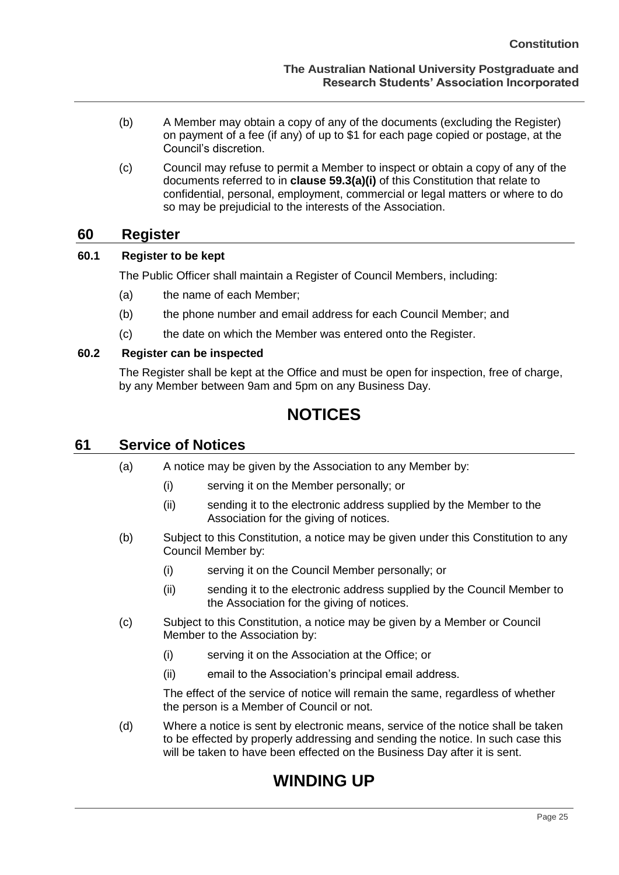- (b) A Member may obtain a copy of any of the documents (excluding the Register) on payment of a fee (if any) of up to \$1 for each page copied or postage, at the Council's discretion.
- (c) Council may refuse to permit a Member to inspect or obtain a copy of any of the documents referred to in **clause [59.3\(a\)\(](#page-28-8)i)** of this Constitution that relate to confidential, personal, employment, commercial or legal matters or where to do so may be prejudicial to the interests of the Association.

### <span id="page-29-0"></span>**60 Register**

#### <span id="page-29-1"></span>**60.1 Register to be kept**

The Public Officer shall maintain a Register of Council Members, including:

- (a) the name of each Member;
- (b) the phone number and email address for each Council Member; and
- (c) the date on which the Member was entered onto the Register.

#### <span id="page-29-2"></span>**60.2 Register can be inspected**

The Register shall be kept at the Office and must be open for inspection, free of charge, by any Member between 9am and 5pm on any Business Day.

## **NOTICES**

#### <span id="page-29-4"></span><span id="page-29-3"></span>**61 Service of Notices**

- (a) A notice may be given by the Association to any Member by:
	- (i) serving it on the Member personally; or
	- (ii) sending it to the electronic address supplied by the Member to the Association for the giving of notices.
- (b) Subject to this Constitution, a notice may be given under this Constitution to any Council Member by:
	- (i) serving it on the Council Member personally; or
	- (ii) sending it to the electronic address supplied by the Council Member to the Association for the giving of notices.
- (c) Subject to this Constitution, a notice may be given by a Member or Council Member to the Association by:
	- (i) serving it on the Association at the Office; or
	- (ii) email to the Association's principal email address.

The effect of the service of notice will remain the same, regardless of whether the person is a Member of Council or not.

<span id="page-29-5"></span>(d) Where a notice is sent by electronic means, service of the notice shall be taken to be effected by properly addressing and sending the notice. In such case this will be taken to have been effected on the Business Day after it is sent.

## **WINDING UP**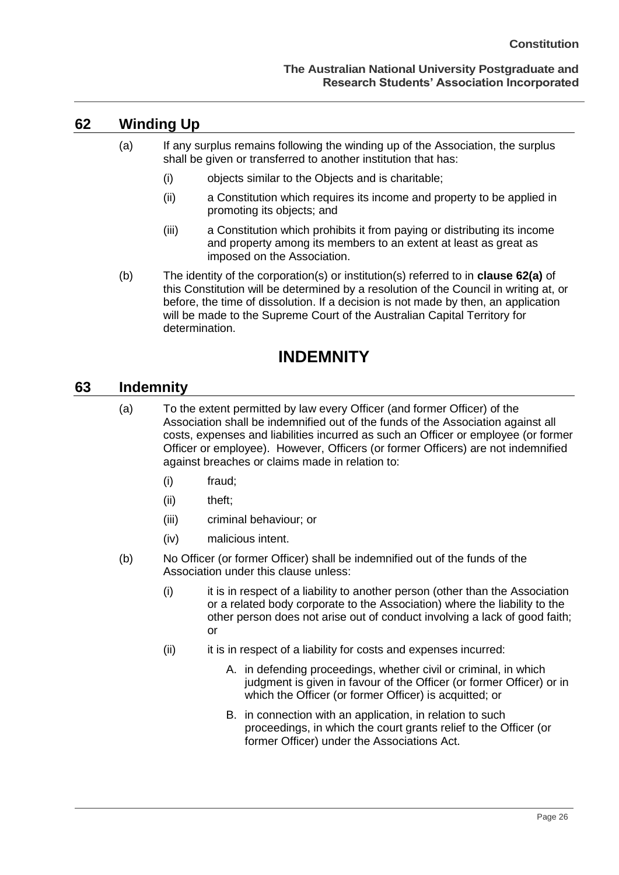#### <span id="page-30-3"></span>**The Australian National University Postgraduate and Research Students' Association Incorporated**

## <span id="page-30-0"></span>**62 Winding Up**

- (a) If any surplus remains following the winding up of the Association, the surplus shall be given or transferred to another institution that has:
	- (i) objects similar to the Objects and is charitable;
	- (ii) a Constitution which requires its income and property to be applied in promoting its objects; and
	- (iii) a Constitution which prohibits it from paying or distributing its income and property among its members to an extent at least as great as imposed on the Association.
- (b) The identity of the corporation(s) or institution(s) referred to in **clause [62\(a\)](#page-30-3)** of this Constitution will be determined by a resolution of the Council in writing at, or before, the time of dissolution. If a decision is not made by then, an application will be made to the Supreme Court of the Australian Capital Territory for determination.

## **INDEMNITY**

#### <span id="page-30-2"></span><span id="page-30-1"></span>**63 Indemnity**

- (a) To the extent permitted by law every Officer (and former Officer) of the Association shall be indemnified out of the funds of the Association against all costs, expenses and liabilities incurred as such an Officer or employee (or former Officer or employee). However, Officers (or former Officers) are not indemnified against breaches or claims made in relation to:
	- (i) fraud;
	- (ii) theft;
	- (iii) criminal behaviour; or
	- (iv) malicious intent.
- (b) No Officer (or former Officer) shall be indemnified out of the funds of the Association under this clause unless:
	- (i) it is in respect of a liability to another person (other than the Association or a related body corporate to the Association) where the liability to the other person does not arise out of conduct involving a lack of good faith; or
	- (ii) it is in respect of a liability for costs and expenses incurred:
		- A. in defending proceedings, whether civil or criminal, in which judgment is given in favour of the Officer (or former Officer) or in which the Officer (or former Officer) is acquitted; or
		- B. in connection with an application, in relation to such proceedings, in which the court grants relief to the Officer (or former Officer) under the Associations Act.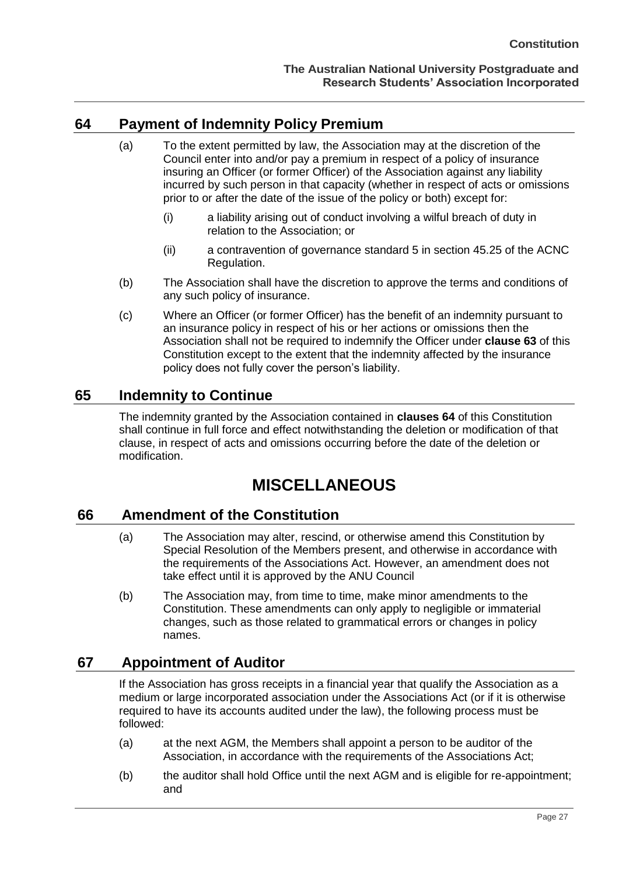## <span id="page-31-0"></span>**64 Payment of Indemnity Policy Premium**

- (a) To the extent permitted by law, the Association may at the discretion of the Council enter into and/or pay a premium in respect of a policy of insurance insuring an Officer (or former Officer) of the Association against any liability incurred by such person in that capacity (whether in respect of acts or omissions prior to or after the date of the issue of the policy or both) except for:
	- (i) a liability arising out of conduct involving a wilful breach of duty in relation to the Association; or
	- (ii) a contravention of governance standard 5 in section 45.25 of the ACNC Regulation.
- (b) The Association shall have the discretion to approve the terms and conditions of any such policy of insurance.
- (c) Where an Officer (or former Officer) has the benefit of an indemnity pursuant to an insurance policy in respect of his or her actions or omissions then the Association shall not be required to indemnify the Officer under **clause 63** of this Constitution except to the extent that the indemnity affected by the insurance policy does not fully cover the person's liability.

### <span id="page-31-1"></span>**65 Indemnity to Continue**

The indemnity granted by the Association contained in **clauses 64** of this Constitution shall continue in full force and effect notwithstanding the deletion or modification of that clause, in respect of acts and omissions occurring before the date of the deletion or modification.

## **MISCELLANEOUS**

#### <span id="page-31-3"></span><span id="page-31-2"></span>**66 Amendment of the Constitution**

- (a) The Association may alter, rescind, or otherwise amend this Constitution by Special Resolution of the Members present, and otherwise in accordance with the requirements of the Associations Act. However, an amendment does not take effect until it is approved by the ANU Council
- (b) The Association may, from time to time, make minor amendments to the Constitution. These amendments can only apply to negligible or immaterial changes, such as those related to grammatical errors or changes in policy names.

### <span id="page-31-4"></span>**67 Appointment of Auditor**

If the Association has gross receipts in a financial year that qualify the Association as a medium or large incorporated association under the Associations Act (or if it is otherwise required to have its accounts audited under the law), the following process must be followed:

- (a) at the next AGM, the Members shall appoint a person to be auditor of the Association, in accordance with the requirements of the Associations Act;
- (b) the auditor shall hold Office until the next AGM and is eligible for re-appointment; and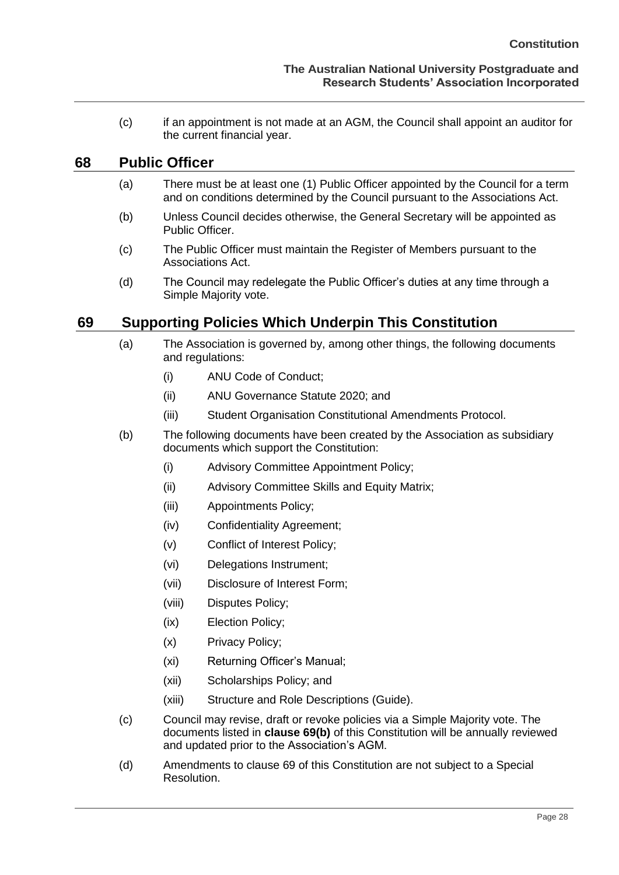(c) if an appointment is not made at an AGM, the Council shall appoint an auditor for the current financial year.

#### <span id="page-32-0"></span>**68 Public Officer**

- (a) There must be at least one (1) Public Officer appointed by the Council for a term and on conditions determined by the Council pursuant to the Associations Act.
- (b) Unless Council decides otherwise, the General Secretary will be appointed as Public Officer.
- (c) The Public Officer must maintain the Register of Members pursuant to the Associations Act.
- (d) The Council may redelegate the Public Officer's duties at any time through a Simple Majority vote.

## <span id="page-32-1"></span>**69 Supporting Policies Which Underpin This Constitution**

- (a) The Association is governed by, among other things, the following documents and regulations:
	- (i) ANU Code of Conduct;
	- (ii) ANU Governance Statute 2020; and
	- (iii) Student Organisation Constitutional Amendments Protocol.
- (b) The following documents have been created by the Association as subsidiary documents which support the Constitution:
	- (i) Advisory Committee Appointment Policy;
	- (ii) Advisory Committee Skills and Equity Matrix;
	- (iii) Appointments Policy;
	- (iv) Confidentiality Agreement;
	- (v) Conflict of Interest Policy;
	- (vi) Delegations Instrument;
	- (vii) Disclosure of Interest Form;
	- (viii) Disputes Policy;
	- (ix) Election Policy;
	- (x) Privacy Policy;
	- (xi) Returning Officer's Manual;
	- (xii) Scholarships Policy; and
	- (xiii) Structure and Role Descriptions (Guide).
- (c) Council may revise, draft or revoke policies via a Simple Majority vote. The documents listed in **clause 69(b)** of this Constitution will be annually reviewed and updated prior to the Association's AGM.
- (d) Amendments to clause 69 of this Constitution are not subject to a Special Resolution.